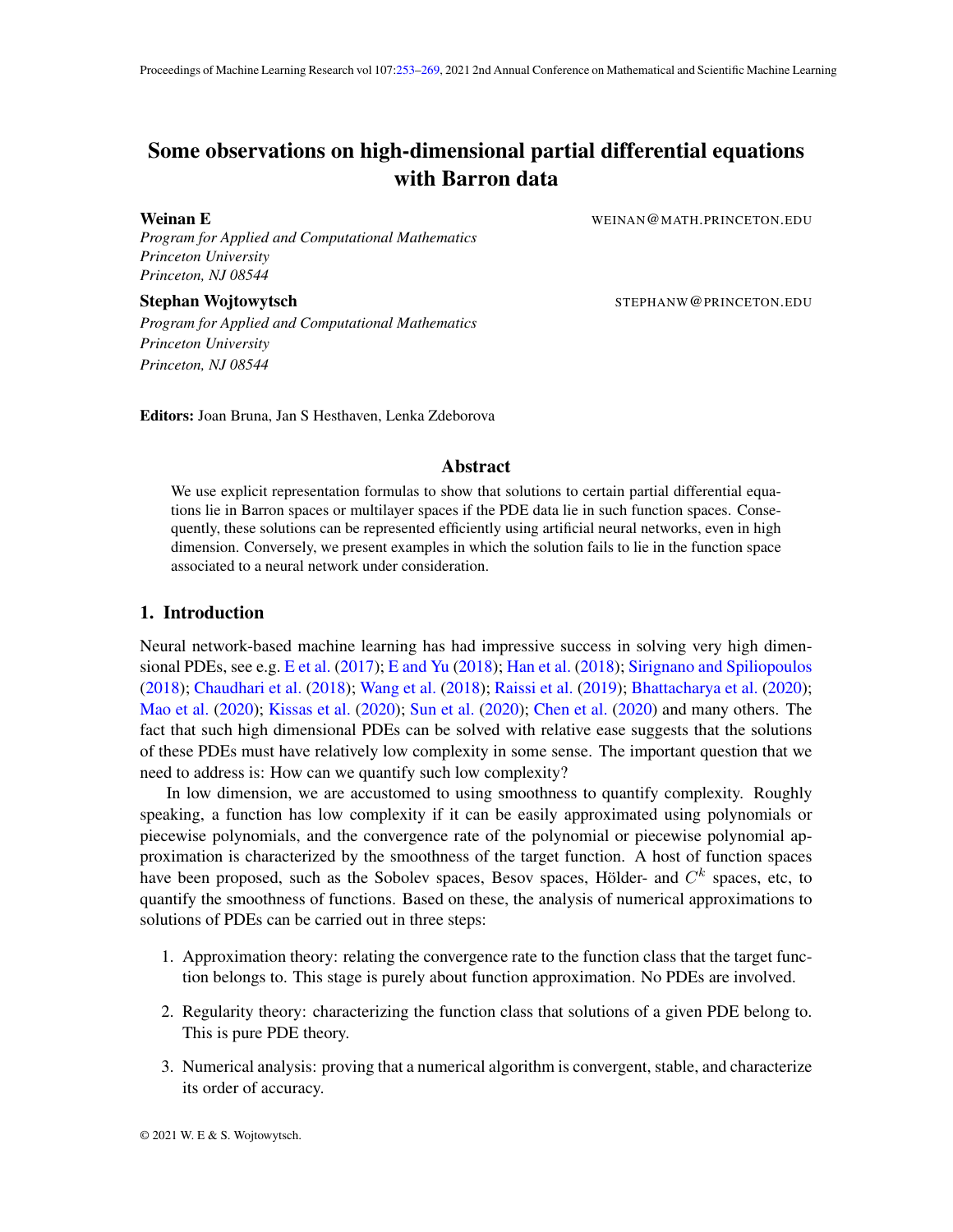# <span id="page-0-0"></span>Some observations on high-dimensional partial differential equations with Barron data

Weinan E WEINAN ALL EXECUTE SERVICE TO A WEINAN WEINAN WATH PRINCETON.

*Program for Applied and Computational Mathematics Princeton University Princeton, NJ 08544*

Stephan Wojtowytsch **Stephan Wojtowytsch Stephan Wojtowytsch** STEPHANW@PRINCETON.EDU

*Program for Applied and Computational Mathematics Princeton University Princeton, NJ 08544*

Editors: Joan Bruna, Jan S Hesthaven, Lenka Zdeborova

## Abstract

We use explicit representation formulas to show that solutions to certain partial differential equations lie in Barron spaces or multilayer spaces if the PDE data lie in such function spaces. Consequently, these solutions can be represented efficiently using artificial neural networks, even in high dimension. Conversely, we present examples in which the solution fails to lie in the function space associated to a neural network under consideration.

## 1. Introduction

Neural network-based machine learning has had impressive success in solving very high dimensional PDEs, see e.g. [E et al.](#page-14-0) [\(2017\)](#page-14-0); [E and Yu](#page-14-1) [\(2018\)](#page-14-1); [Han et al.](#page-15-0) [\(2018\)](#page-15-0); [Sirignano and Spiliopoulos](#page-15-1) [\(2018\)](#page-15-1); [Chaudhari et al.](#page-14-2) [\(2018\)](#page-14-2); [Wang et al.](#page-15-2) [\(2018\)](#page-15-2); [Raissi et al.](#page-15-3) [\(2019\)](#page-15-3); [Bhattacharya et al.](#page-13-0) [\(2020\)](#page-13-0); [Mao et al.](#page-15-4) [\(2020\)](#page-15-4); [Kissas et al.](#page-15-5) [\(2020\)](#page-15-5); [Sun et al.](#page-15-6) [\(2020\)](#page-15-6); [Chen et al.](#page-14-3) [\(2020\)](#page-14-3) and many others. The fact that such high dimensional PDEs can be solved with relative ease suggests that the solutions of these PDEs must have relatively low complexity in some sense. The important question that we need to address is: How can we quantify such low complexity?

In low dimension, we are accustomed to using smoothness to quantify complexity. Roughly speaking, a function has low complexity if it can be easily approximated using polynomials or piecewise polynomials, and the convergence rate of the polynomial or piecewise polynomial approximation is characterized by the smoothness of the target function. A host of function spaces have been proposed, such as the Sobolev spaces, Besov spaces, Hölder- and  $C<sup>k</sup>$  spaces, etc, to quantify the smoothness of functions. Based on these, the analysis of numerical approximations to solutions of PDEs can be carried out in three steps:

- 1. Approximation theory: relating the convergence rate to the function class that the target function belongs to. This stage is purely about function approximation. No PDEs are involved.
- 2. Regularity theory: characterizing the function class that solutions of a given PDE belong to. This is pure PDE theory.
- 3. Numerical analysis: proving that a numerical algorithm is convergent, stable, and characterize its order of accuracy.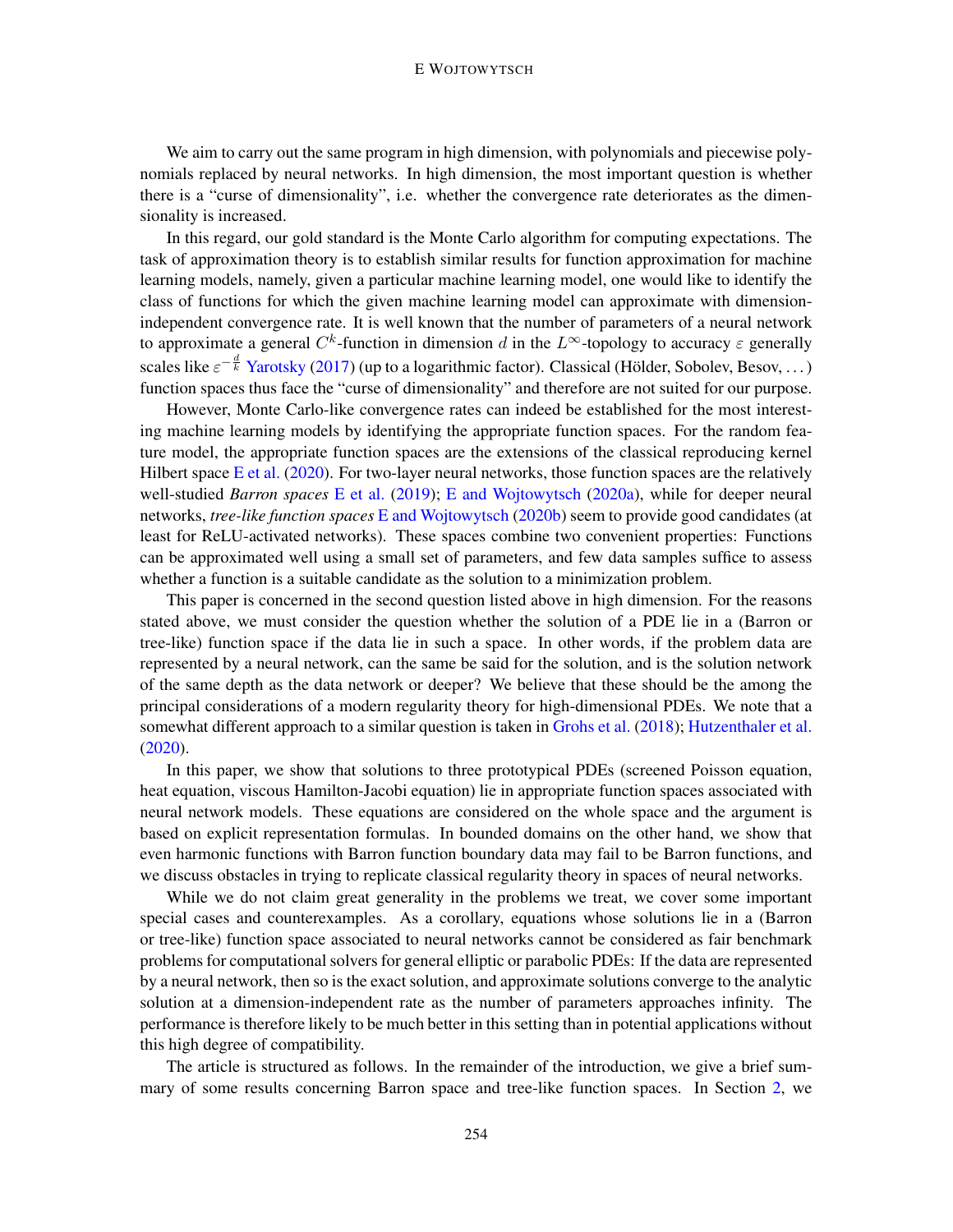#### E WOJTOWYTSCH

We aim to carry out the same program in high dimension, with polynomials and piecewise polynomials replaced by neural networks. In high dimension, the most important question is whether there is a "curse of dimensionality", i.e. whether the convergence rate deteriorates as the dimensionality is increased.

In this regard, our gold standard is the Monte Carlo algorithm for computing expectations. The task of approximation theory is to establish similar results for function approximation for machine learning models, namely, given a particular machine learning model, one would like to identify the class of functions for which the given machine learning model can approximate with dimensionindependent convergence rate. It is well known that the number of parameters of a neural network to approximate a general  $C^k$ -function in dimension d in the  $L^{\infty}$ -topology to accuracy  $\varepsilon$  generally scales like  $\varepsilon^{-\frac{d}{k}}$  [Yarotsky](#page-15-7) [\(2017\)](#page-15-7) (up to a logarithmic factor). Classical (Hölder, Sobolev, Besov, ...) function spaces thus face the "curse of dimensionality" and therefore are not suited for our purpose.

However, Monte Carlo-like convergence rates can indeed be established for the most interesting machine learning models by identifying the appropriate function spaces. For the random feature model, the appropriate function spaces are the extensions of the classical reproducing kernel Hilbert space  $E$  et al. [\(2020\)](#page-14-4). For two-layer neural networks, those function spaces are the relatively well-studied *Barron spaces* [E et al.](#page-14-5) [\(2019\)](#page-14-5); [E and Wojtowytsch](#page-14-6) [\(2020a\)](#page-14-6), while for deeper neural networks, *tree-like function spaces* [E and Wojtowytsch](#page-14-7) [\(2020b\)](#page-14-7) seem to provide good candidates (at least for ReLU-activated networks). These spaces combine two convenient properties: Functions can be approximated well using a small set of parameters, and few data samples suffice to assess whether a function is a suitable candidate as the solution to a minimization problem.

This paper is concerned in the second question listed above in high dimension. For the reasons stated above, we must consider the question whether the solution of a PDE lie in a (Barron or tree-like) function space if the data lie in such a space. In other words, if the problem data are represented by a neural network, can the same be said for the solution, and is the solution network of the same depth as the data network or deeper? We believe that these should be the among the principal considerations of a modern regularity theory for high-dimensional PDEs. We note that a somewhat different approach to a similar question is taken in [Grohs et al.](#page-14-8) [\(2018\)](#page-14-8); [Hutzenthaler et al.](#page-15-8) [\(2020\)](#page-15-8).

In this paper, we show that solutions to three prototypical PDEs (screened Poisson equation, heat equation, viscous Hamilton-Jacobi equation) lie in appropriate function spaces associated with neural network models. These equations are considered on the whole space and the argument is based on explicit representation formulas. In bounded domains on the other hand, we show that even harmonic functions with Barron function boundary data may fail to be Barron functions, and we discuss obstacles in trying to replicate classical regularity theory in spaces of neural networks.

While we do not claim great generality in the problems we treat, we cover some important special cases and counterexamples. As a corollary, equations whose solutions lie in a (Barron or tree-like) function space associated to neural networks cannot be considered as fair benchmark problems for computational solvers for general elliptic or parabolic PDEs: If the data are represented by a neural network, then so is the exact solution, and approximate solutions converge to the analytic solution at a dimension-independent rate as the number of parameters approaches infinity. The performance is therefore likely to be much better in this setting than in potential applications without this high degree of compatibility.

The article is structured as follows. In the remainder of the introduction, we give a brief summary of some results concerning Barron space and tree-like function spaces. In Section [2,](#page-5-0) we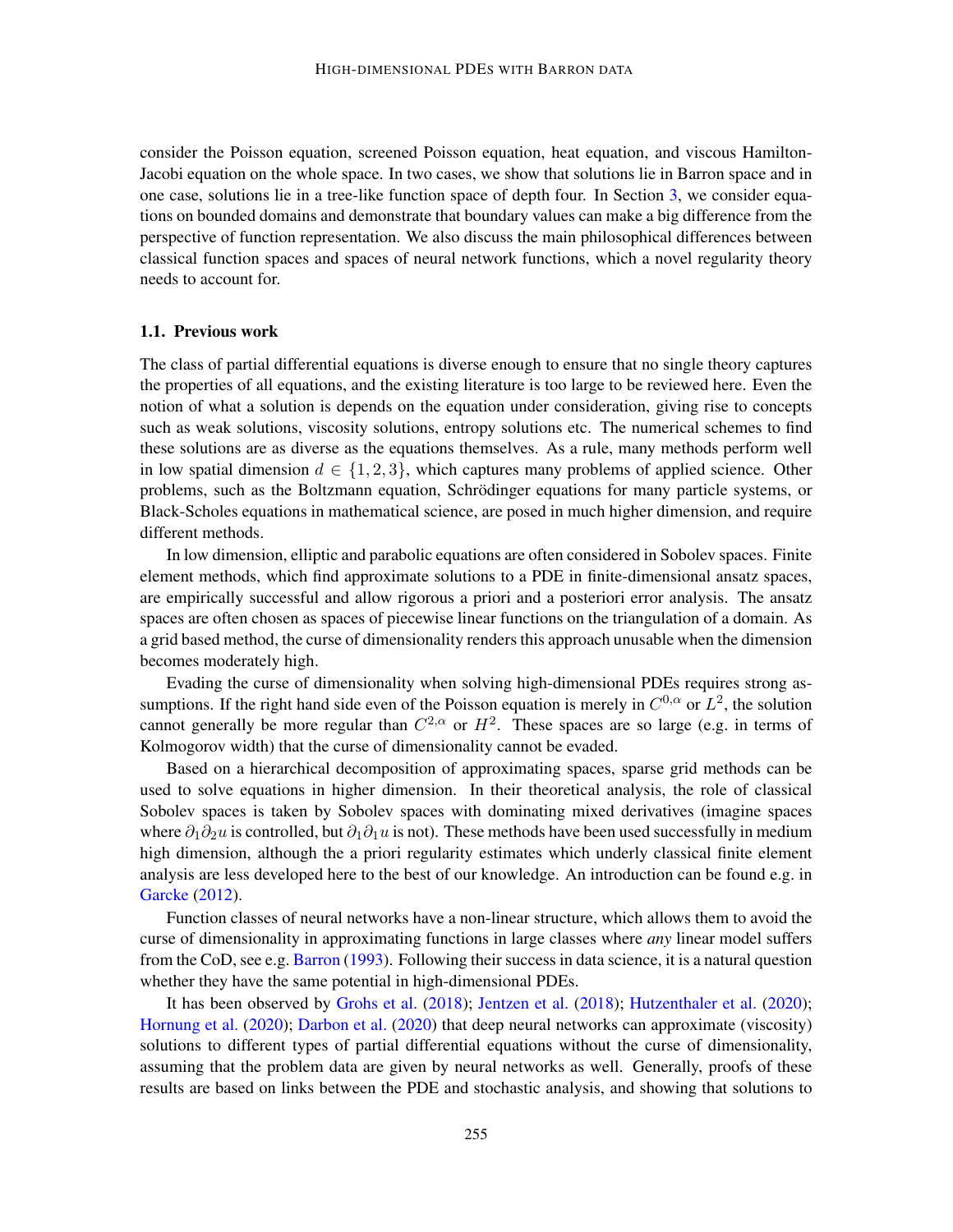consider the Poisson equation, screened Poisson equation, heat equation, and viscous Hamilton-Jacobi equation on the whole space. In two cases, we show that solutions lie in Barron space and in one case, solutions lie in a tree-like function space of depth four. In Section [3,](#page-10-0) we consider equations on bounded domains and demonstrate that boundary values can make a big difference from the perspective of function representation. We also discuss the main philosophical differences between classical function spaces and spaces of neural network functions, which a novel regularity theory needs to account for.

## 1.1. Previous work

The class of partial differential equations is diverse enough to ensure that no single theory captures the properties of all equations, and the existing literature is too large to be reviewed here. Even the notion of what a solution is depends on the equation under consideration, giving rise to concepts such as weak solutions, viscosity solutions, entropy solutions etc. The numerical schemes to find these solutions are as diverse as the equations themselves. As a rule, many methods perform well in low spatial dimension  $d \in \{1, 2, 3\}$ , which captures many problems of applied science. Other problems, such as the Boltzmann equation, Schrodinger equations for many particle systems, or ¨ Black-Scholes equations in mathematical science, are posed in much higher dimension, and require different methods.

In low dimension, elliptic and parabolic equations are often considered in Sobolev spaces. Finite element methods, which find approximate solutions to a PDE in finite-dimensional ansatz spaces, are empirically successful and allow rigorous a priori and a posteriori error analysis. The ansatz spaces are often chosen as spaces of piecewise linear functions on the triangulation of a domain. As a grid based method, the curse of dimensionality renders this approach unusable when the dimension becomes moderately high.

Evading the curse of dimensionality when solving high-dimensional PDEs requires strong assumptions. If the right hand side even of the Poisson equation is merely in  $C^{0,\alpha}$  or  $L^2$ , the solution cannot generally be more regular than  $C^{2,\alpha}$  or  $H^2$ . These spaces are so large (e.g. in terms of Kolmogorov width) that the curse of dimensionality cannot be evaded.

Based on a hierarchical decomposition of approximating spaces, sparse grid methods can be used to solve equations in higher dimension. In their theoretical analysis, the role of classical Sobolev spaces is taken by Sobolev spaces with dominating mixed derivatives (imagine spaces where  $\partial_1 \partial_2 u$  is controlled, but  $\partial_1 \partial_1 u$  is not). These methods have been used successfully in medium high dimension, although the a priori regularity estimates which underly classical finite element analysis are less developed here to the best of our knowledge. An introduction can be found e.g. in [Garcke](#page-14-9) [\(2012\)](#page-14-9).

Function classes of neural networks have a non-linear structure, which allows them to avoid the curse of dimensionality in approximating functions in large classes where *any* linear model suffers from the CoD, see e.g. [Barron](#page-13-1) [\(1993\)](#page-13-1). Following their success in data science, it is a natural question whether they have the same potential in high-dimensional PDEs.

It has been observed by [Grohs et al.](#page-14-8) [\(2018\)](#page-14-8); [Jentzen et al.](#page-15-9) [\(2018\)](#page-15-9); [Hutzenthaler et al.](#page-15-8) [\(2020\)](#page-15-8); [Hornung et al.](#page-15-10) [\(2020\)](#page-15-10); [Darbon et al.](#page-14-10) [\(2020\)](#page-14-10) that deep neural networks can approximate (viscosity) solutions to different types of partial differential equations without the curse of dimensionality, assuming that the problem data are given by neural networks as well. Generally, proofs of these results are based on links between the PDE and stochastic analysis, and showing that solutions to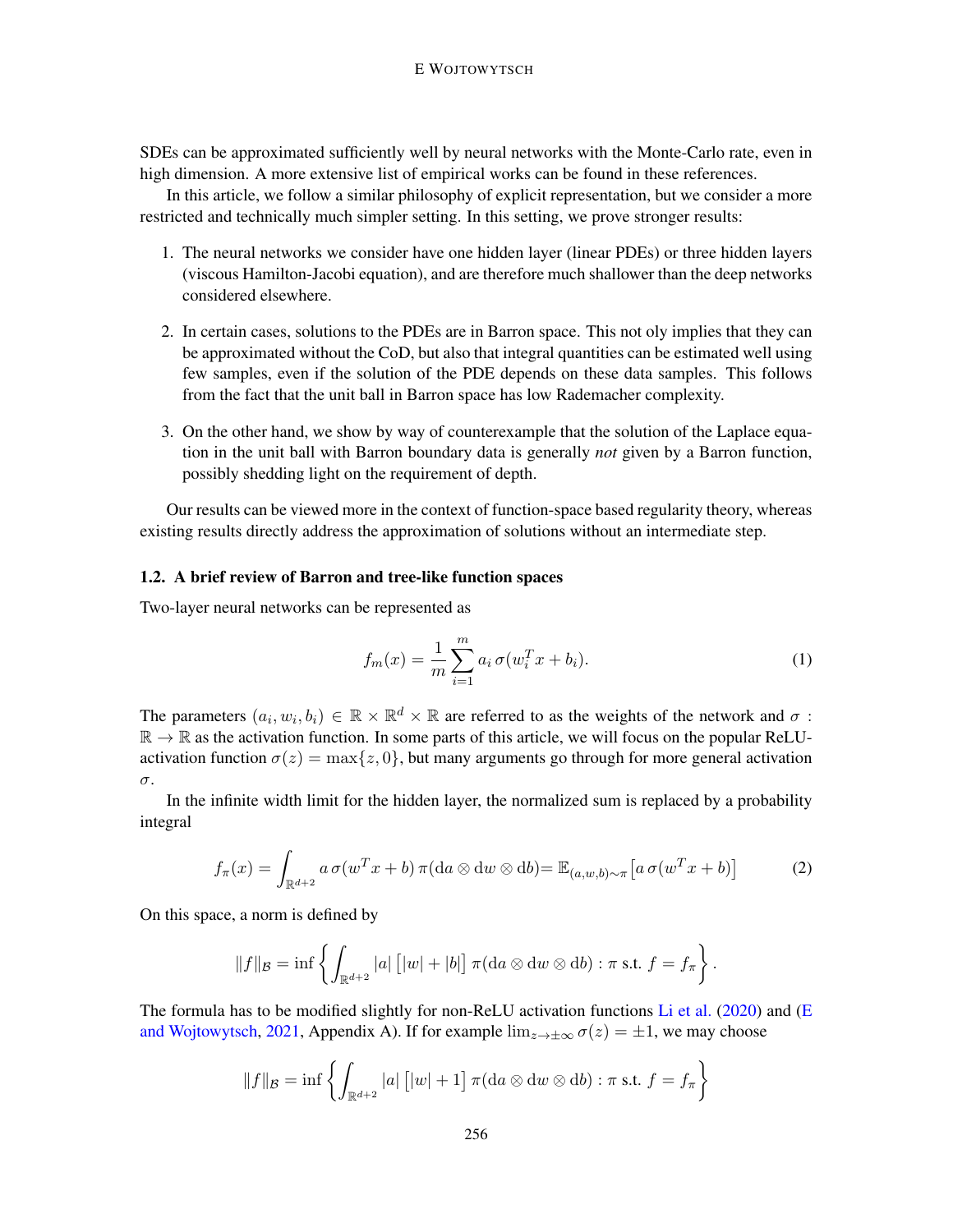#### E WOJTOWYTSCH

SDEs can be approximated sufficiently well by neural networks with the Monte-Carlo rate, even in high dimension. A more extensive list of empirical works can be found in these references.

In this article, we follow a similar philosophy of explicit representation, but we consider a more restricted and technically much simpler setting. In this setting, we prove stronger results:

- 1. The neural networks we consider have one hidden layer (linear PDEs) or three hidden layers (viscous Hamilton-Jacobi equation), and are therefore much shallower than the deep networks considered elsewhere.
- 2. In certain cases, solutions to the PDEs are in Barron space. This not oly implies that they can be approximated without the CoD, but also that integral quantities can be estimated well using few samples, even if the solution of the PDE depends on these data samples. This follows from the fact that the unit ball in Barron space has low Rademacher complexity.
- 3. On the other hand, we show by way of counterexample that the solution of the Laplace equation in the unit ball with Barron boundary data is generally *not* given by a Barron function, possibly shedding light on the requirement of depth.

Our results can be viewed more in the context of function-space based regularity theory, whereas existing results directly address the approximation of solutions without an intermediate step.

## 1.2. A brief review of Barron and tree-like function spaces

Two-layer neural networks can be represented as

<span id="page-3-0"></span>
$$
f_m(x) = \frac{1}{m} \sum_{i=1}^{m} a_i \sigma(w_i^T x + b_i).
$$
 (1)

The parameters  $(a_i, w_i, b_i) \in \mathbb{R} \times \mathbb{R}^d \times \mathbb{R}$  are referred to as the weights of the network and  $\sigma$ :  $\mathbb{R} \to \mathbb{R}$  as the activation function. In some parts of this article, we will focus on the popular ReLUactivation function  $\sigma(z) = \max\{z, 0\}$ , but many arguments go through for more general activation σ.

In the infinite width limit for the hidden layer, the normalized sum is replaced by a probability integral

$$
f_{\pi}(x) = \int_{\mathbb{R}^{d+2}} a \,\sigma(w^T x + b) \,\pi(\mathrm{d}a \otimes \mathrm{d}w \otimes \mathrm{d}b) = \mathbb{E}_{(a,w,b)\sim\pi} \big[ a \,\sigma(w^T x + b) \big] \tag{2}
$$

On this space, a norm is defined by

$$
||f||_{\mathcal{B}} = \inf \left\{ \int_{\mathbb{R}^{d+2}} |a| [|w| + |b|] \pi(\mathrm{d}a \otimes \mathrm{d}w \otimes \mathrm{d}b) : \pi \text{ s.t. } f = f_{\pi} \right\}.
$$

The formula has to be modified slightly for non-ReLU activation functions [Li et al.](#page-15-11) [\(2020\)](#page-15-11) and [\(E](#page-14-11) [and Wojtowytsch,](#page-14-11) [2021,](#page-14-11) Appendix A). If for example  $\lim_{z\to\pm\infty}\sigma(z) = \pm 1$ , we may choose

$$
||f||_{\mathcal{B}} = \inf \left\{ \int_{\mathbb{R}^{d+2}} |a| \left[ |w| + 1 \right] \pi(\mathrm{d}a \otimes \mathrm{d}w \otimes \mathrm{d}b) : \pi \text{ s.t. } f = f_{\pi} \right\}
$$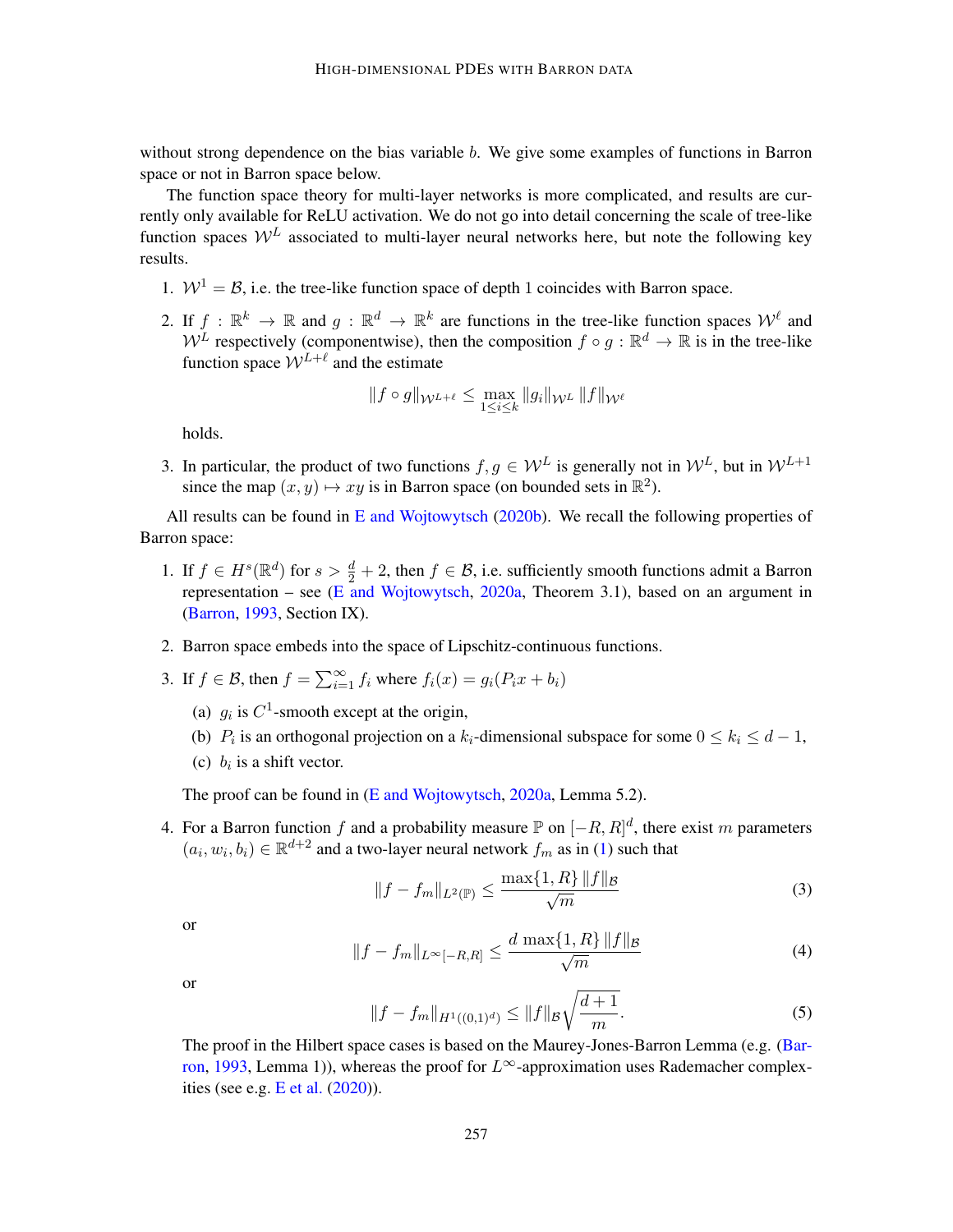without strong dependence on the bias variable b. We give some examples of functions in Barron space or not in Barron space below.

The function space theory for multi-layer networks is more complicated, and results are currently only available for ReLU activation. We do not go into detail concerning the scale of tree-like function spaces  $W^L$  associated to multi-layer neural networks here, but note the following key results.

- 1.  $W^1 = \mathcal{B}$ , i.e. the tree-like function space of depth 1 coincides with Barron space.
- 2. If  $f : \mathbb{R}^k \to \mathbb{R}$  and  $g : \mathbb{R}^d \to \mathbb{R}^k$  are functions in the tree-like function spaces  $\mathcal{W}^{\ell}$  and  $W^L$  respectively (componentwise), then the composition  $f \circ g : \mathbb{R}^d \to \mathbb{R}$  is in the tree-like function space  $W^{L+\ell}$  and the estimate

$$
\|f\circ g\|_{\mathcal{W}^{L+\ell}}\leq \max_{1\leq i\leq k}\|g_i\|_{\mathcal{W}^L}\,\|f\|_{\mathcal{W}^\ell}
$$

holds.

3. In particular, the product of two functions  $f, g \in \mathcal{W}^L$  is generally not in  $\mathcal{W}^L$ , but in  $\mathcal{W}^{L+1}$ since the map  $(x, y) \mapsto xy$  is in Barron space (on bounded sets in  $\mathbb{R}^2$ ).

All results can be found in [E and Wojtowytsch](#page-14-7) [\(2020b\)](#page-14-7). We recall the following properties of Barron space:

- 1. If  $f \in H^s(\mathbb{R}^d)$  for  $s > \frac{d}{2} + 2$ , then  $f \in \mathcal{B}$ , i.e. sufficiently smooth functions admit a Barron representation – see [\(E and Wojtowytsch,](#page-14-6)  $2020a$ , Theorem 3.1), based on an argument in [\(Barron,](#page-13-1) [1993,](#page-13-1) Section IX).
- 2. Barron space embeds into the space of Lipschitz-continuous functions.
- 3. If  $f \in \mathcal{B}$ , then  $f = \sum_{i=1}^{\infty} f_i$  where  $f_i(x) = g_i(P_i x + b_i)$ 
	- (a)  $g_i$  is  $C^1$ -smooth except at the origin,
	- (b)  $P_i$  is an orthogonal projection on a  $k_i$ -dimensional subspace for some  $0 \le k_i \le d-1$ ,
	- (c)  $b_i$  is a shift vector.

The proof can be found in [\(E and Wojtowytsch,](#page-14-6) [2020a,](#page-14-6) Lemma 5.2).

4. For a Barron function f and a probability measure  $\mathbb P$  on  $[-R, R]^d$ , there exist m parameters  $(a_i, w_i, b_i) \in \mathbb{R}^{d+2}$  and a two-layer neural network  $f_m$  as in [\(1\)](#page-3-0) such that

$$
||f - f_m||_{L^2(\mathbb{P})} \le \frac{\max\{1, R\} \, ||f||_{\mathcal{B}}}{\sqrt{m}} \tag{3}
$$

or

$$
||f - f_m||_{L^{\infty}[-R,R]} \le \frac{d \max\{1, R\} \, ||f||_{\mathcal{B}}}{\sqrt{m}} \tag{4}
$$

or

$$
||f - f_m||_{H^1((0,1)^d)} \le ||f||_{\mathcal{B}} \sqrt{\frac{d+1}{m}}.
$$
 (5)

The proof in the Hilbert space cases is based on the Maurey-Jones-Barron Lemma (e.g. [\(Bar](#page-13-1)[ron,](#page-13-1) [1993,](#page-13-1) Lemma 1)), whereas the proof for  $L^{\infty}$ -approximation uses Rademacher complexities (see e.g.  $E$  et al.  $(2020)$ ).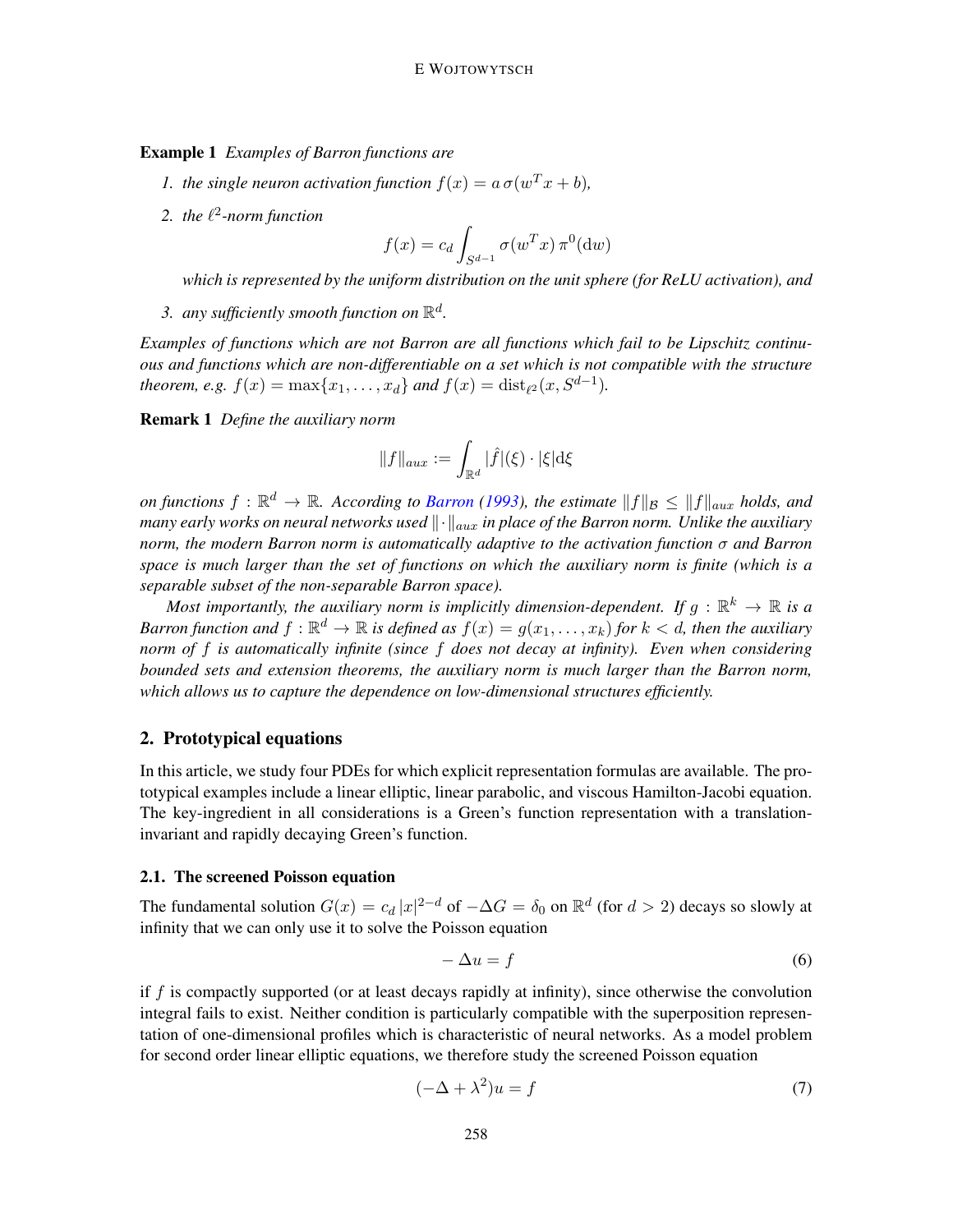Example 1 *Examples of Barron functions are*

- *1. the single neuron activation function*  $f(x) = a \sigma(w^T x + b)$ *,*
- 2. the  $\ell^2$ -norm function

$$
f(x) = c_d \int_{S^{d-1}} \sigma(w^T x) \,\pi^0(\mathrm{d}w)
$$

*which is represented by the uniform distribution on the unit sphere (for ReLU activation), and*

3. any sufficiently smooth function on  $\mathbb{R}^d$ .

*Examples of functions which are not Barron are all functions which fail to be Lipschitz continuous and functions which are non-differentiable on a set which is not compatible with the structure theorem, e.g.*  $f(x) = \max\{x_1, ..., x_d\}$  *and*  $f(x) = \text{dist}_{\ell^2}(x, S^{d-1})$ *.* 

Remark 1 *Define the auxiliary norm*

$$
||f||_{aux} := \int_{\mathbb{R}^d} |\hat{f}|(\xi) \cdot |\xi| \mathrm{d}\xi
$$

*on functions*  $f: \mathbb{R}^d \to \mathbb{R}$ *. According to [Barron](#page-13-1)* [\(1993\)](#page-13-1), the estimate  $||f||_{\mathcal{B}} \leq ||f||_{aux}$  holds, and *many early works on neural networks used*  $\|\cdot\|_{aux}$  *in place of the Barron norm. Unlike the auxiliary norm, the modern Barron norm is automatically adaptive to the activation function* σ *and Barron space is much larger than the set of functions on which the auxiliary norm is finite (which is a separable subset of the non-separable Barron space).*

Most importantly, the auxiliary norm is implicitly dimension-dependent. If  $g: \mathbb{R}^k \to \mathbb{R}$  is a Barron function and  $f: \mathbb{R}^d \to \mathbb{R}$  is defined as  $f(x) = g(x_1, \ldots, x_k)$  for  $k < d$ , then the auxiliary *norm of* f *is automatically infinite (since* f *does not decay at infinity). Even when considering bounded sets and extension theorems, the auxiliary norm is much larger than the Barron norm, which allows us to capture the dependence on low-dimensional structures efficiently.*

## <span id="page-5-0"></span>2. Prototypical equations

In this article, we study four PDEs for which explicit representation formulas are available. The prototypical examples include a linear elliptic, linear parabolic, and viscous Hamilton-Jacobi equation. The key-ingredient in all considerations is a Green's function representation with a translationinvariant and rapidly decaying Green's function.

## 2.1. The screened Poisson equation

The fundamental solution  $G(x) = c_d |x|^{2-d}$  of  $-\Delta G = \delta_0$  on  $\mathbb{R}^d$  (for  $d > 2$ ) decays so slowly at infinity that we can only use it to solve the Poisson equation

$$
-\Delta u = f \tag{6}
$$

if  $f$  is compactly supported (or at least decays rapidly at infinity), since otherwise the convolution integral fails to exist. Neither condition is particularly compatible with the superposition representation of one-dimensional profiles which is characteristic of neural networks. As a model problem for second order linear elliptic equations, we therefore study the screened Poisson equation

<span id="page-5-1"></span>
$$
(-\Delta + \lambda^2)u = f \tag{7}
$$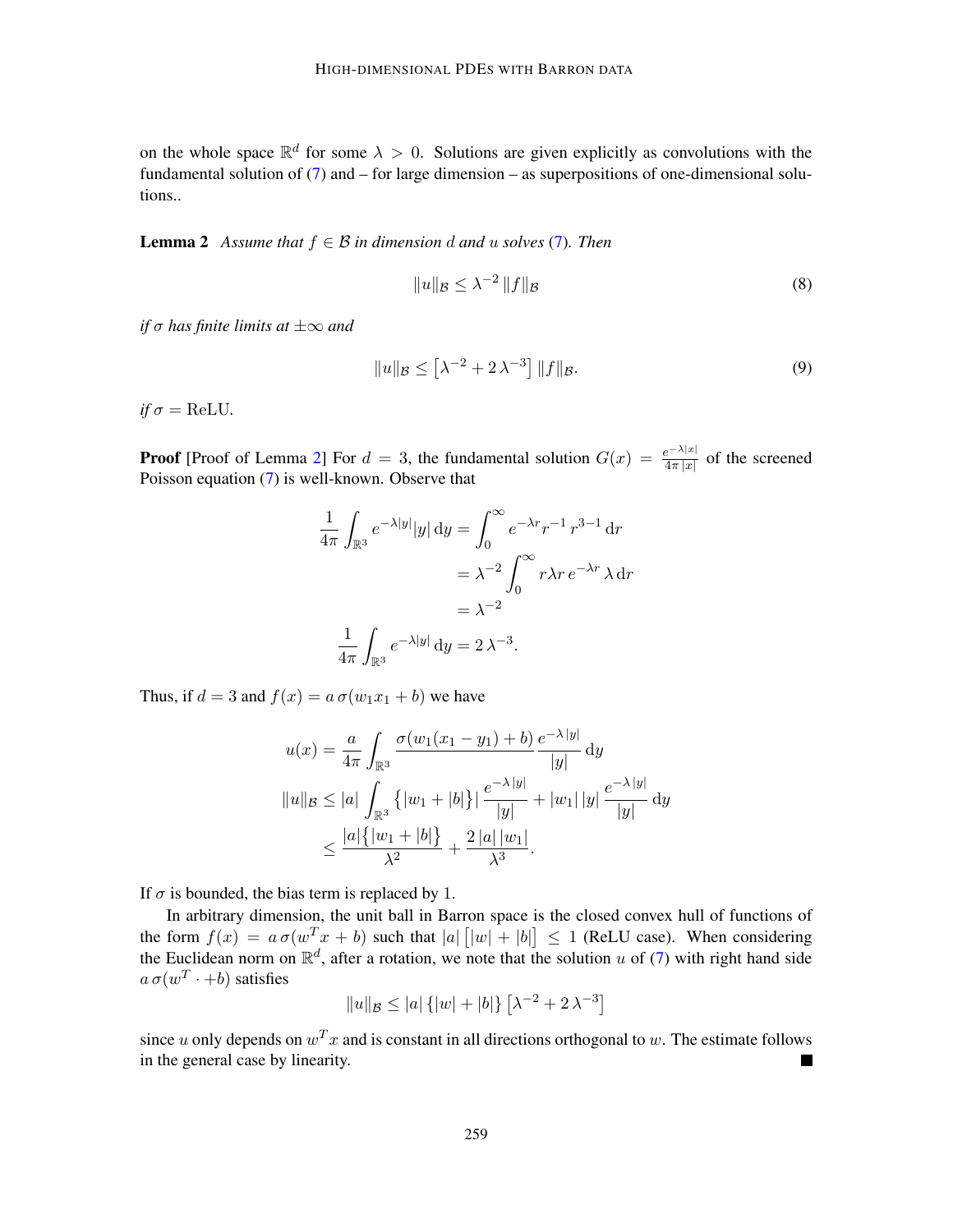on the whole space  $\mathbb{R}^d$  for some  $\lambda > 0$ . Solutions are given explicitly as convolutions with the fundamental solution of [\(7\)](#page-5-1) and – for large dimension – as superpositions of one-dimensional solutions..

<span id="page-6-0"></span>**Lemma 2** *Assume that*  $f \in \mathcal{B}$  *in dimension* d *and* u *solves* [\(7\)](#page-5-1)*. Then* 

$$
||u||_{\mathcal{B}} \leq \lambda^{-2} ||f||_{\mathcal{B}} \tag{8}
$$

*if*  $\sigma$  *has finite limits at*  $\pm \infty$  *and* 

$$
||u||_{\mathcal{B}} \le \left[\lambda^{-2} + 2\lambda^{-3}\right] ||f||_{\mathcal{B}}.
$$
\n(9)

 $if \sigma = \text{ReLU}.$ 

**Proof** [Proof of Lemma [2\]](#page-6-0) For  $d = 3$ , the fundamental solution  $G(x) = \frac{e^{-\lambda|x|}}{4\pi|x|}$  of the screened Poisson equation [\(7\)](#page-5-1) is well-known. Observe that

$$
\frac{1}{4\pi} \int_{\mathbb{R}^3} e^{-\lambda |y|} |y| \, dy = \int_0^\infty e^{-\lambda r} r^{-1} r^{3-1} \, dr
$$

$$
= \lambda^{-2} \int_0^\infty r \lambda r e^{-\lambda r} \, \lambda \, dr
$$

$$
= \lambda^{-2}
$$

$$
\frac{1}{4\pi} \int_{\mathbb{R}^3} e^{-\lambda |y|} \, dy = 2 \lambda^{-3}.
$$

Thus, if  $d = 3$  and  $f(x) = a \sigma(w_1x_1 + b)$  we have

$$
u(x) = \frac{a}{4\pi} \int_{\mathbb{R}^3} \frac{\sigma(w_1(x_1 - y_1) + b)}{|y|} \, \mathrm{d}y
$$
  

$$
||u||_B \le |a| \int_{\mathbb{R}^3} \{ |w_1 + |b| \} | \frac{e^{-\lambda |y|}}{|y|} + |w_1| |y| \frac{e^{-\lambda |y|}}{|y|} \, \mathrm{d}y
$$
  

$$
\le \frac{|a| \{ |w_1 + |b| \}}{\lambda^2} + \frac{2 |a| |w_1|}{\lambda^3}.
$$

If  $\sigma$  is bounded, the bias term is replaced by 1.

In arbitrary dimension, the unit ball in Barron space is the closed convex hull of functions of the form  $f(x) = a \sigma(w^T x + b)$  such that  $|a| |w| + |b| \le 1$  (ReLU case). When considering the Euclidean norm on  $\mathbb{R}^d$ , after a rotation, we note that the solution u of [\(7\)](#page-5-1) with right hand side  $a\,\sigma(w^T\cdot+b)$  satisfies

$$
||u||_{\mathcal{B}} \le |a| \{ |w| + |b| \} \left[ \lambda^{-2} + 2 \lambda^{-3} \right]
$$

since u only depends on  $w^T x$  and is constant in all directions orthogonal to w. The estimate follows in the general case by linearity.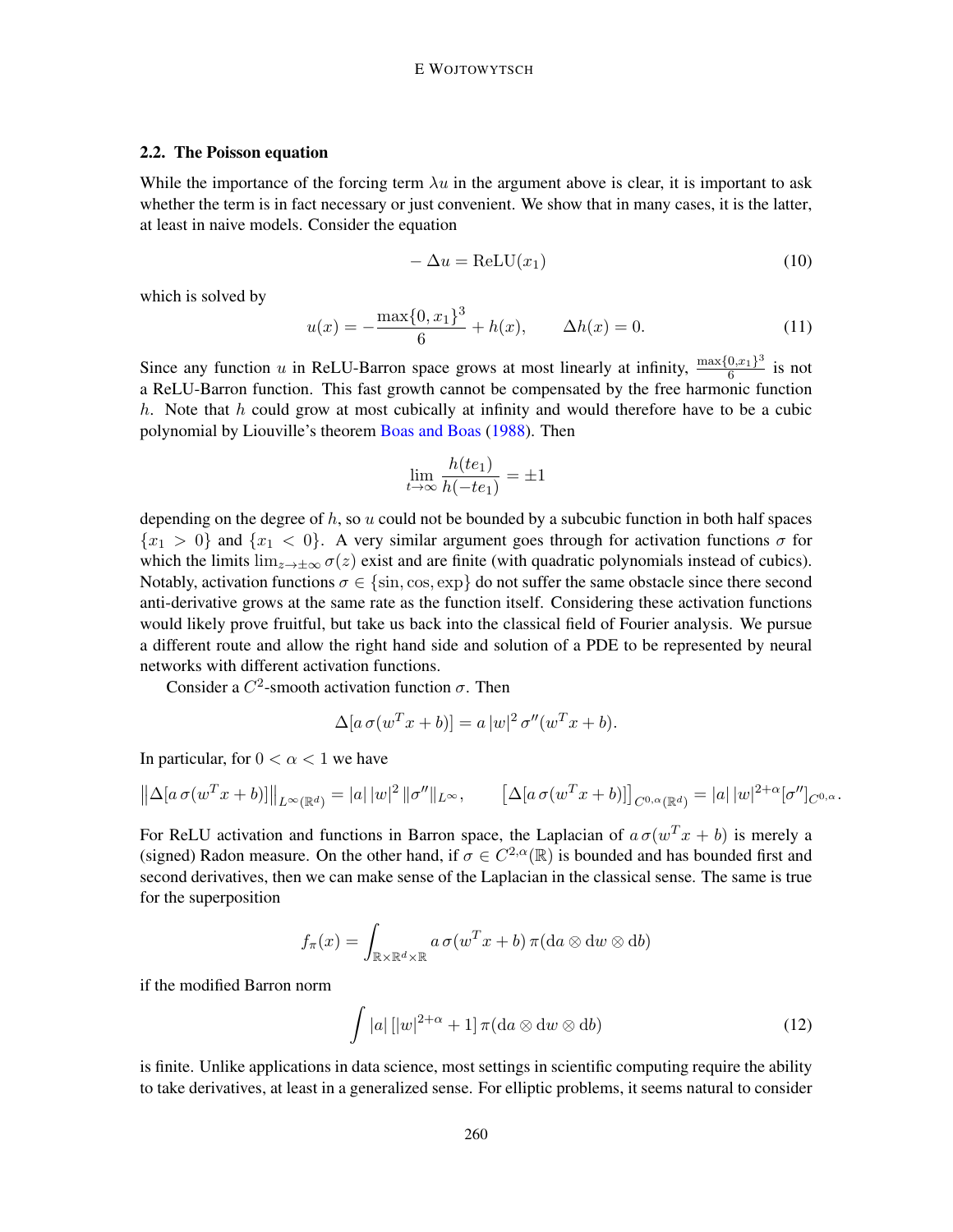## <span id="page-7-0"></span>2.2. The Poisson equation

While the importance of the forcing term  $\lambda u$  in the argument above is clear, it is important to ask whether the term is in fact necessary or just convenient. We show that in many cases, it is the latter, at least in naive models. Consider the equation

$$
-\Delta u = \text{ReLU}(x_1) \tag{10}
$$

which is solved by

$$
u(x) = -\frac{\max\{0, x_1\}^3}{6} + h(x), \qquad \Delta h(x) = 0.
$$
 (11)

Since any function u in ReLU-Barron space grows at most linearly at infinity,  $\frac{\max\{0,x_1\}^3}{6}$  $\frac{0, x_1}{6}$  is not a ReLU-Barron function. This fast growth cannot be compensated by the free harmonic function h. Note that h could grow at most cubically at infinity and would therefore have to be a cubic polynomial by Liouville's theorem [Boas and Boas](#page-14-12) [\(1988\)](#page-14-12). Then

$$
\lim_{t \to \infty} \frac{h(te_1)}{h(-te_1)} = \pm 1
$$

depending on the degree of  $h$ , so u could not be bounded by a subcubic function in both half spaces  ${x_1 > 0}$  and  ${x_1 < 0}$ . A very similar argument goes through for activation functions  $\sigma$  for which the limits  $\lim_{z\to\pm\infty}\sigma(z)$  exist and are finite (with quadratic polynomials instead of cubics). Notably, activation functions  $\sigma \in \{\sin, \cos, \exp\}$  do not suffer the same obstacle since there second anti-derivative grows at the same rate as the function itself. Considering these activation functions would likely prove fruitful, but take us back into the classical field of Fourier analysis. We pursue a different route and allow the right hand side and solution of a PDE to be represented by neural networks with different activation functions.

Consider a  $C^2$ -smooth activation function  $\sigma$ . Then

$$
\Delta[a \,\sigma(w^T x + b)] = a |w|^2 \,\sigma''(w^T x + b).
$$

In particular, for  $0 < \alpha < 1$  we have

$$
\left\|\Delta[a\,\sigma(w^T x + b)]\right\|_{L^{\infty}(\mathbb{R}^d)} = |a|\,|w|^2\,|\sigma''\|_{L^{\infty}}, \qquad \left[\Delta[a\,\sigma(w^T x + b)]\right]_{C^{0,\alpha}(\mathbb{R}^d)} = |a|\,|w|^{2+\alpha}[\sigma'']_{C^{0,\alpha}}.
$$

For ReLU activation and functions in Barron space, the Laplacian of  $a\sigma(w^Tx + b)$  is merely a (signed) Radon measure. On the other hand, if  $\sigma \in C^{2,\alpha}(\mathbb{R})$  is bounded and has bounded first and second derivatives, then we can make sense of the Laplacian in the classical sense. The same is true for the superposition

$$
f_{\pi}(x) = \int_{\mathbb{R} \times \mathbb{R}^d \times \mathbb{R}} a \, \sigma(w^T x + b) \, \pi(\mathrm{d}a \otimes \mathrm{d}w \otimes \mathrm{d}b)
$$

if the modified Barron norm

$$
\int |a| \left[ |w|^{2+\alpha} + 1 \right] \pi(\mathrm{d}a \otimes \mathrm{d}w \otimes \mathrm{d}b) \tag{12}
$$

is finite. Unlike applications in data science, most settings in scientific computing require the ability to take derivatives, at least in a generalized sense. For elliptic problems, it seems natural to consider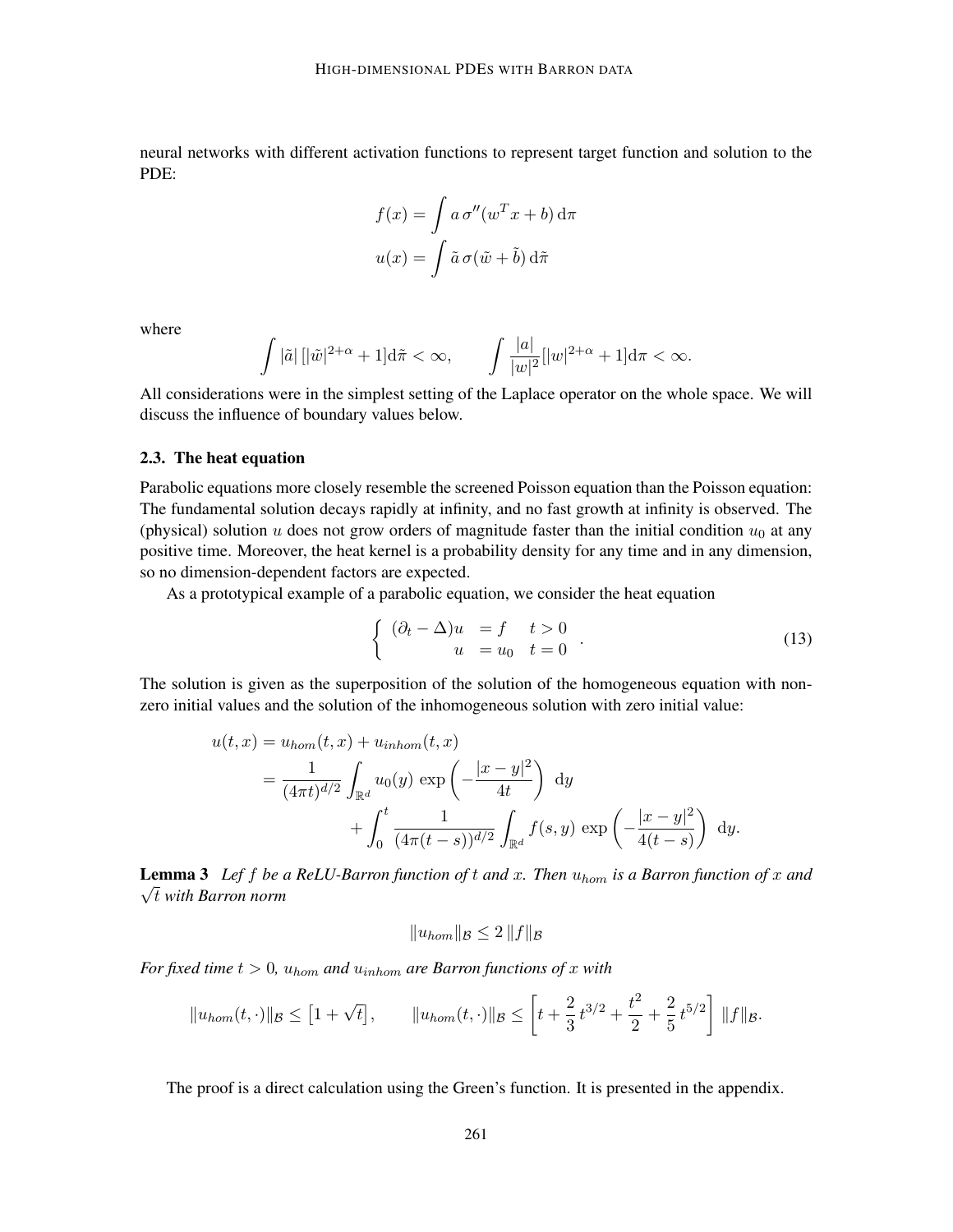neural networks with different activation functions to represent target function and solution to the PDE:

$$
f(x) = \int a \,\sigma''(w^T x + b) \,d\pi
$$

$$
u(x) = \int \tilde{a} \,\sigma(\tilde{w} + \tilde{b}) \,d\tilde{\pi}
$$

where

$$
\int |\tilde{a}| \left[ |\tilde{w}|^{2+\alpha} + 1 \right] d\tilde{\pi} < \infty, \qquad \int \frac{|a|}{|w|^2} [|w|^{2+\alpha} + 1] d\pi < \infty.
$$

All considerations were in the simplest setting of the Laplace operator on the whole space. We will discuss the influence of boundary values below.

#### 2.3. The heat equation

Parabolic equations more closely resemble the screened Poisson equation than the Poisson equation: The fundamental solution decays rapidly at infinity, and no fast growth at infinity is observed. The (physical) solution  $u$  does not grow orders of magnitude faster than the initial condition  $u_0$  at any positive time. Moreover, the heat kernel is a probability density for any time and in any dimension, so no dimension-dependent factors are expected.

As a prototypical example of a parabolic equation, we consider the heat equation

$$
\begin{cases}\n(\partial_t - \Delta)u &= f \quad t > 0 \\
u &= u_0 \quad t = 0\n\end{cases}.
$$
\n(13)

The solution is given as the superposition of the solution of the homogeneous equation with nonzero initial values and the solution of the inhomogeneous solution with zero initial value:

$$
u(t,x) = u_{hom}(t,x) + u_{inhom}(t,x)
$$
  
=  $\frac{1}{(4\pi t)^{d/2}} \int_{\mathbb{R}^d} u_0(y) \exp\left(-\frac{|x-y|^2}{4t}\right) dy$   
+  $\int_0^t \frac{1}{(4\pi(t-s))^{d/2}} \int_{\mathbb{R}^d} f(s,y) \exp\left(-\frac{|x-y|^2}{4(t-s)}\right) dy.$ 

<span id="page-8-0"></span>**Lemma 3** *Lef f be a ReLU-Barron function of t and x*. *Then*  $u_{hom}$  *is a Barron function of x and*  $\sqrt{t}$  with Barron norm

$$
||u_{hom}||_{\mathcal{B}} \leq 2 ||f||_{\mathcal{B}}
$$

*For fixed time*  $t > 0$ *,*  $u_{hom}$  *and*  $u_{inhom}$  *are Barron functions of* x *with* 

$$
||u_{hom}(t,\cdot)||_{\mathcal{B}} \leq [1+\sqrt{t}], \qquad ||u_{hom}(t,\cdot)||_{\mathcal{B}} \leq \left[t+\frac{2}{3}t^{3/2}+\frac{t^2}{2}+\frac{2}{5}t^{5/2}\right]||f||_{\mathcal{B}}.
$$

The proof is a direct calculation using the Green's function. It is presented in the appendix.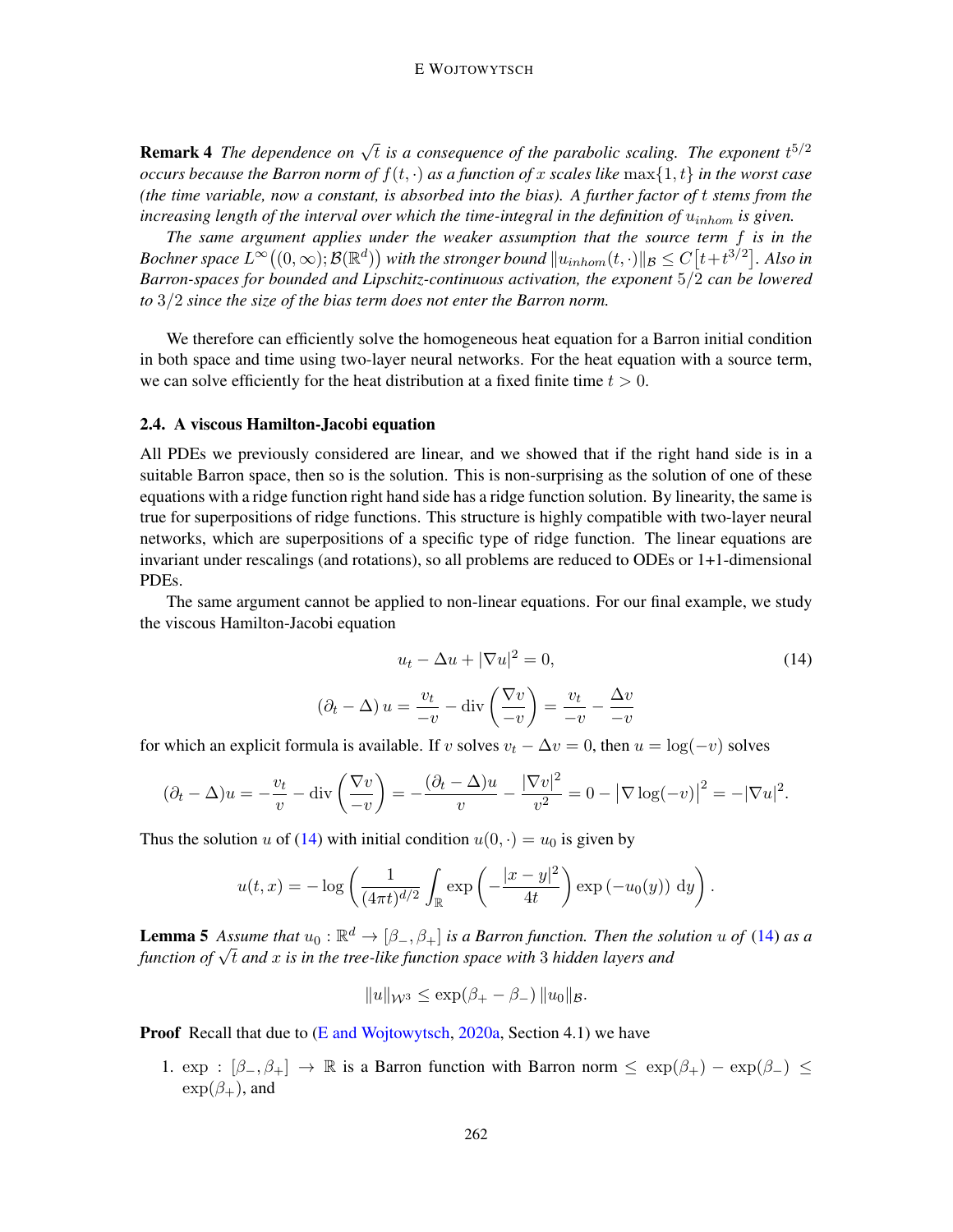**Remark 4** The dependence on  $\sqrt{t}$  is a consequence of the parabolic scaling. The exponent  $t^{5/2}$ *occurs because the Barron norm of*  $f(t, \cdot)$  *as a function of* x *scales like*  $\max\{1, t\}$  *in the worst case (the time variable, now a constant, is absorbed into the bias). A further factor of* t *stems from the increasing length of the interval over which the time-integral in the definition of*  $u_{inhom}$  *is given.* 

*The same argument applies under the weaker assumption that the source term* f *is in the* Bochner space  $L^\infty((0,\infty);{\mathcal B}(\mathbb R^d))$  with the stronger bound  $\|u_{inhom}(t,\cdot)\|_{\mathcal B}\le C\big[t+t^{3/2}\big].$  Also in *Barron-spaces for bounded and Lipschitz-continuous activation, the exponent* 5/2 *can be lowered to* 3/2 *since the size of the bias term does not enter the Barron norm.*

We therefore can efficiently solve the homogeneous heat equation for a Barron initial condition in both space and time using two-layer neural networks. For the heat equation with a source term, we can solve efficiently for the heat distribution at a fixed finite time  $t > 0$ .

#### 2.4. A viscous Hamilton-Jacobi equation

All PDEs we previously considered are linear, and we showed that if the right hand side is in a suitable Barron space, then so is the solution. This is non-surprising as the solution of one of these equations with a ridge function right hand side has a ridge function solution. By linearity, the same is true for superpositions of ridge functions. This structure is highly compatible with two-layer neural networks, which are superpositions of a specific type of ridge function. The linear equations are invariant under rescalings (and rotations), so all problems are reduced to ODEs or 1+1-dimensional PDEs.

The same argument cannot be applied to non-linear equations. For our final example, we study the viscous Hamilton-Jacobi equation

<span id="page-9-0"></span>
$$
u_t - \Delta u + |\nabla u|^2 = 0,\t\t(14)
$$

$$
(\partial_t - \Delta) u = \frac{v_t}{-v} - \text{div}\left(\frac{\nabla v}{-v}\right) = \frac{v_t}{-v} - \frac{\Delta v}{-v}
$$

for which an explicit formula is available. If v solves  $v_t - \Delta v = 0$ , then  $u = \log(-v)$  solves

$$
(\partial_t - \Delta)u = -\frac{v_t}{v} - \text{div}\left(\frac{\nabla v}{-v}\right) = -\frac{(\partial_t - \Delta)u}{v} - \frac{|\nabla v|^2}{v^2} = 0 - |\nabla \log(-v)|^2 = -|\nabla u|^2.
$$

Thus the solution u of [\(14\)](#page-9-0) with initial condition  $u(0, \cdot) = u_0$  is given by

$$
u(t,x) = -\log\left(\frac{1}{(4\pi t)^{d/2}}\int_{\mathbb{R}} \exp\left(-\frac{|x-y|^2}{4t}\right) \exp(-u_0(y)) dy\right).
$$

**Lemma 5** Assume that  $u_0 : \mathbb{R}^d \to [\beta_-, \beta_+]$  is a Barron function. Then the solution u of [\(14\)](#page-9-0) as a *function of*  $\sqrt{t}$  *and*  $x$  *is in the tree-like function space with* 3 *hidden layers and function of*  $\sqrt{t}$  *and*  $x$  *is in the tree-like function space with* 3 *hidden layers and* 

$$
||u||_{\mathcal{W}^3} \le \exp(\beta_+ - \beta_-) ||u_0||_{\mathcal{B}}.
$$

**Proof** Recall that due to [\(E and Wojtowytsch,](#page-14-6) [2020a,](#page-14-6) Section 4.1) we have

1.  $\exp : [\beta_-, \beta_+] \to \mathbb{R}$  is a Barron function with Barron norm  $\leq \exp(\beta_+) - \exp(\beta_-) \leq$  $\exp(\beta_+)$ , and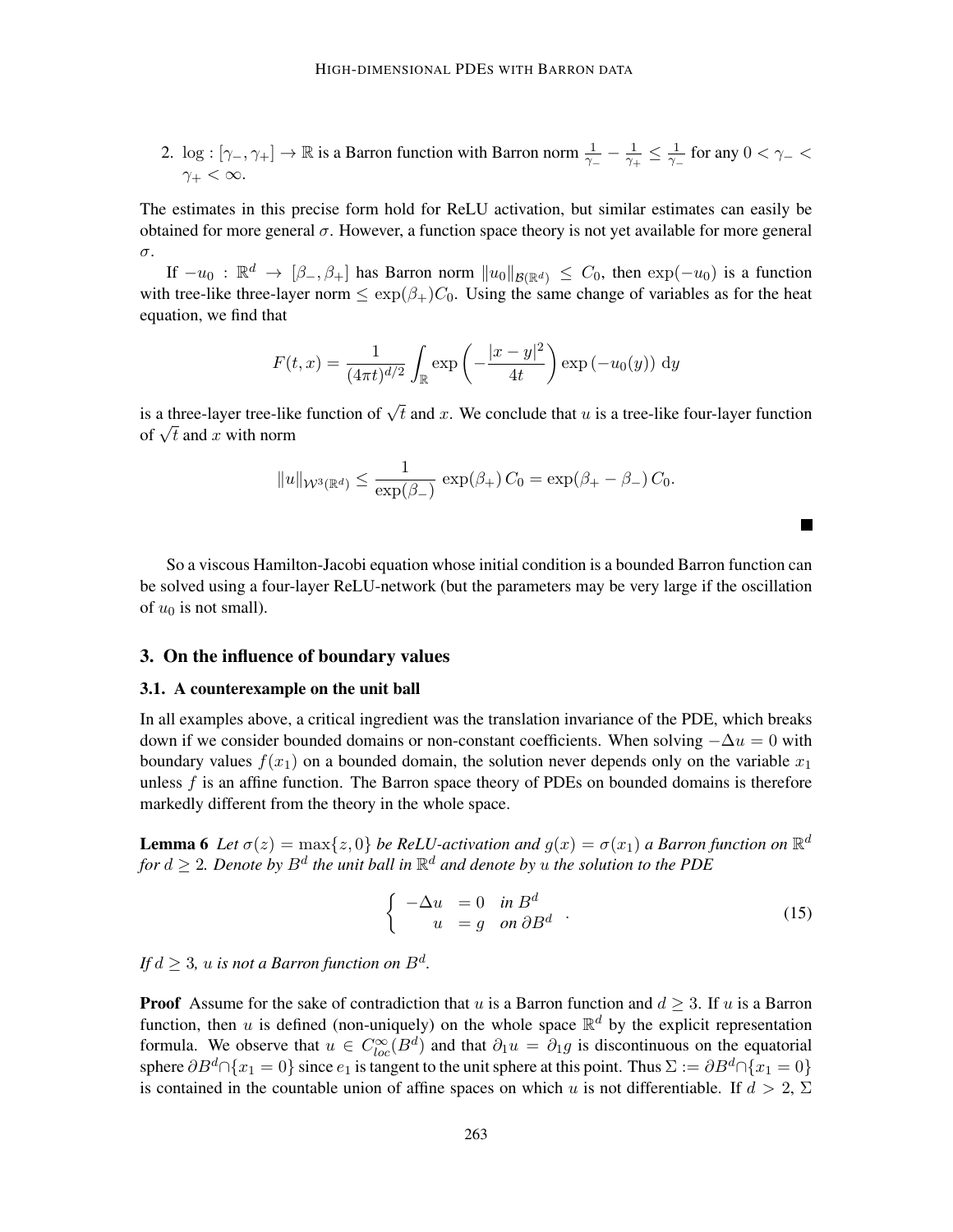2. log :  $[\gamma_-, \gamma_+] \to \mathbb{R}$  is a Barron function with Barron norm  $\frac{1}{\gamma_-} - \frac{1}{\gamma_+}$  $\frac{1}{\gamma_+}\leq\frac{1}{\gamma_-}$  $\frac{1}{\gamma-}$  for any  $0 < \gamma- <$  $\gamma_+ < \infty$ .

The estimates in this precise form hold for ReLU activation, but similar estimates can easily be obtained for more general  $\sigma$ . However, a function space theory is not yet available for more general σ.

If  $-u_0: \mathbb{R}^d \to [\beta_-, \beta_+]$  has Barron norm  $||u_0||_{\mathcal{B}(\mathbb{R}^d)} \leq C_0$ , then  $\exp(-u_0)$  is a function with tree-like three-layer norm  $\leq \exp(\beta_{+})C_0$ . Using the same change of variables as for the heat equation, we find that

$$
F(t,x) = \frac{1}{(4\pi t)^{d/2}} \int_{\mathbb{R}} \exp\left(-\frac{|x-y|^2}{4t}\right) \exp(-u_0(y)) \, dy
$$

is a three-layer tree-like function of  $\sqrt{t}$  and x. We conclude that u is a tree-like four-layer function is a unree-layer tree-like<br>of  $\sqrt{t}$  and x with norm

$$
||u||_{\mathcal{W}^3(\mathbb{R}^d)} \le \frac{1}{\exp(\beta_-)} \, \exp(\beta_+) \, C_0 = \exp(\beta_+ - \beta_-) \, C_0.
$$

So a viscous Hamilton-Jacobi equation whose initial condition is a bounded Barron function can be solved using a four-layer ReLU-network (but the parameters may be very large if the oscillation of  $u_0$  is not small).

# <span id="page-10-0"></span>3. On the influence of boundary values

#### 3.1. A counterexample on the unit ball

In all examples above, a critical ingredient was the translation invariance of the PDE, which breaks down if we consider bounded domains or non-constant coefficients. When solving  $-\Delta u = 0$  with boundary values  $f(x_1)$  on a bounded domain, the solution never depends only on the variable  $x_1$ unless  $f$  is an affine function. The Barron space theory of PDEs on bounded domains is therefore markedly different from the theory in the whole space.

**Lemma 6** Let  $\sigma(z) = \max\{z, 0\}$  be ReLU-activation and  $g(x) = \sigma(x_1)$  a Barron function on  $\mathbb{R}^d$ for  $d \geq 2$ . Denote by  $B^d$  the unit ball in  $\mathbb{R}^d$  and denote by  $u$  the solution to the PDE

$$
\begin{cases}\n-\Delta u = 0 & \text{in } B^d \\
u = g & \text{on } \partial B^d\n\end{cases}.
$$
\n(15)

 $\mathcal{L}$ 

If  $d\geq 3$ ,  $u$  is not a Barron function on  $B^d.$ 

**Proof** Assume for the sake of contradiction that u is a Barron function and  $d > 3$ . If u is a Barron function, then u is defined (non-uniquely) on the whole space  $\mathbb{R}^d$  by the explicit representation formula. We observe that  $u \in C^{\infty}_{loc}(B^d)$  and that  $\partial_1 u = \partial_1 g$  is discontinuous on the equatorial sphere  $\partial B^d \cap \{x_1 = 0\}$  since  $e_1$  is tangent to the unit sphere at this point. Thus  $\Sigma := \partial B^d \cap \{x_1 = 0\}$ is contained in the countable union of affine spaces on which u is not differentiable. If  $d > 2$ ,  $\Sigma$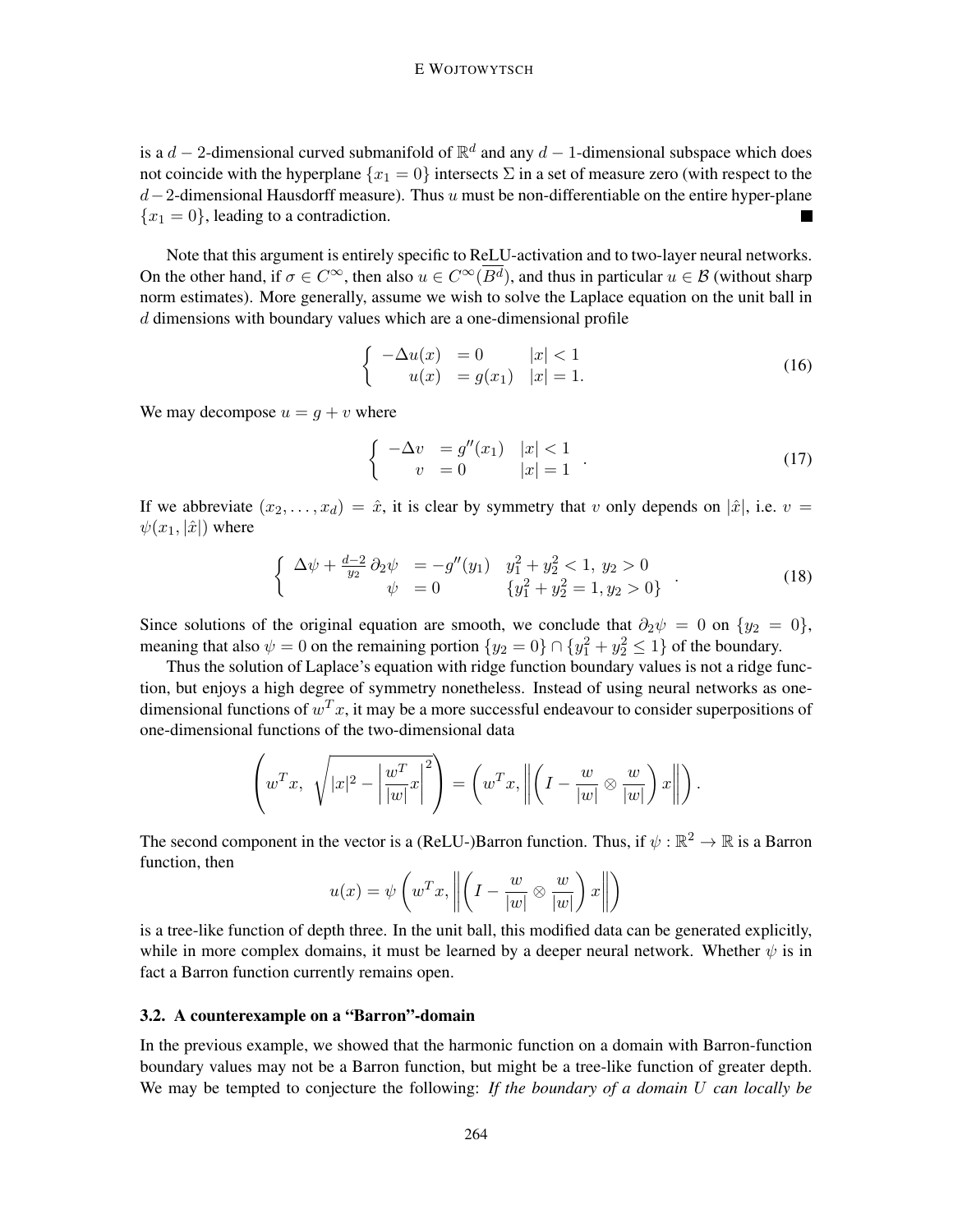is a  $d-2$ -dimensional curved submanifold of  $\mathbb{R}^d$  and any  $d-1$ -dimensional subspace which does not coincide with the hyperplane  ${x_1 = 0}$  intersects  $\Sigma$  in a set of measure zero (with respect to the  $d-2$ -dimensional Hausdorff measure). Thus u must be non-differentiable on the entire hyper-plane  ${x_1 = 0}$ , leading to a contradiction.

Note that this argument is entirely specific to ReLU-activation and to two-layer neural networks. On the other hand, if  $\sigma \in C^{\infty}$ , then also  $u \in C^{\infty}(\overline{B^d})$ , and thus in particular  $u \in \mathcal{B}$  (without sharp norm estimates). More generally, assume we wish to solve the Laplace equation on the unit ball in d dimensions with boundary values which are a one-dimensional profile

$$
\begin{cases}\n-\Delta u(x) = 0 & |x| < 1 \\
u(x) = g(x_1) & |x| = 1.\n\end{cases}
$$
\n(16)

We may decompose  $u = q + v$  where

$$
\begin{cases}\n-\Delta v = g''(x_1) & |x| < 1 \\
v = 0 & |x| = 1\n\end{cases}.
$$
\n(17)

If we abbreviate  $(x_2, \ldots, x_d) = \hat{x}$ , it is clear by symmetry that v only depends on  $|\hat{x}|$ , i.e.  $v =$  $\psi(x_1, |\hat{x}|)$  where

$$
\begin{cases}\n\Delta \psi + \frac{d-2}{y_2} \partial_2 \psi = -g''(y_1) & y_1^2 + y_2^2 < 1, \ y_2 > 0 \\
\psi = 0 & \{y_1^2 + y_2^2 = 1, \ y_2 > 0\}\n\end{cases} \tag{18}
$$

Since solutions of the original equation are smooth, we conclude that  $\partial_2 \psi = 0$  on  $\{y_2 = 0\}$ , meaning that also  $\psi = 0$  on the remaining portion  $\{y_2 = 0\} \cap \{y_1^2 + y_2^2 \le 1\}$  of the boundary.

Thus the solution of Laplace's equation with ridge function boundary values is not a ridge function, but enjoys a high degree of symmetry nonetheless. Instead of using neural networks as onedimensional functions of  $w^T x$ , it may be a more successful endeavour to consider superpositions of one-dimensional functions of the two-dimensional data

$$
\left(w^T x, \sqrt{|x|^2 - \left|\frac{w^T}{|w|}x\right|^2}\right) = \left(w^T x, \left\|\left(I - \frac{w}{|w|} \otimes \frac{w}{|w|}\right)x\right\|\right).
$$

The second component in the vector is a (ReLU-)Barron function. Thus, if  $\psi : \mathbb{R}^2 \to \mathbb{R}$  is a Barron function, then

$$
u(x) = \psi\left(w^T x, \left\| \left(I - \frac{w}{|w|} \otimes \frac{w}{|w|}\right)x\right\|\right)
$$

is a tree-like function of depth three. In the unit ball, this modified data can be generated explicitly, while in more complex domains, it must be learned by a deeper neural network. Whether  $\psi$  is in fact a Barron function currently remains open.

#### 3.2. A counterexample on a "Barron"-domain

In the previous example, we showed that the harmonic function on a domain with Barron-function boundary values may not be a Barron function, but might be a tree-like function of greater depth. We may be tempted to conjecture the following: *If the boundary of a domain* U *can locally be*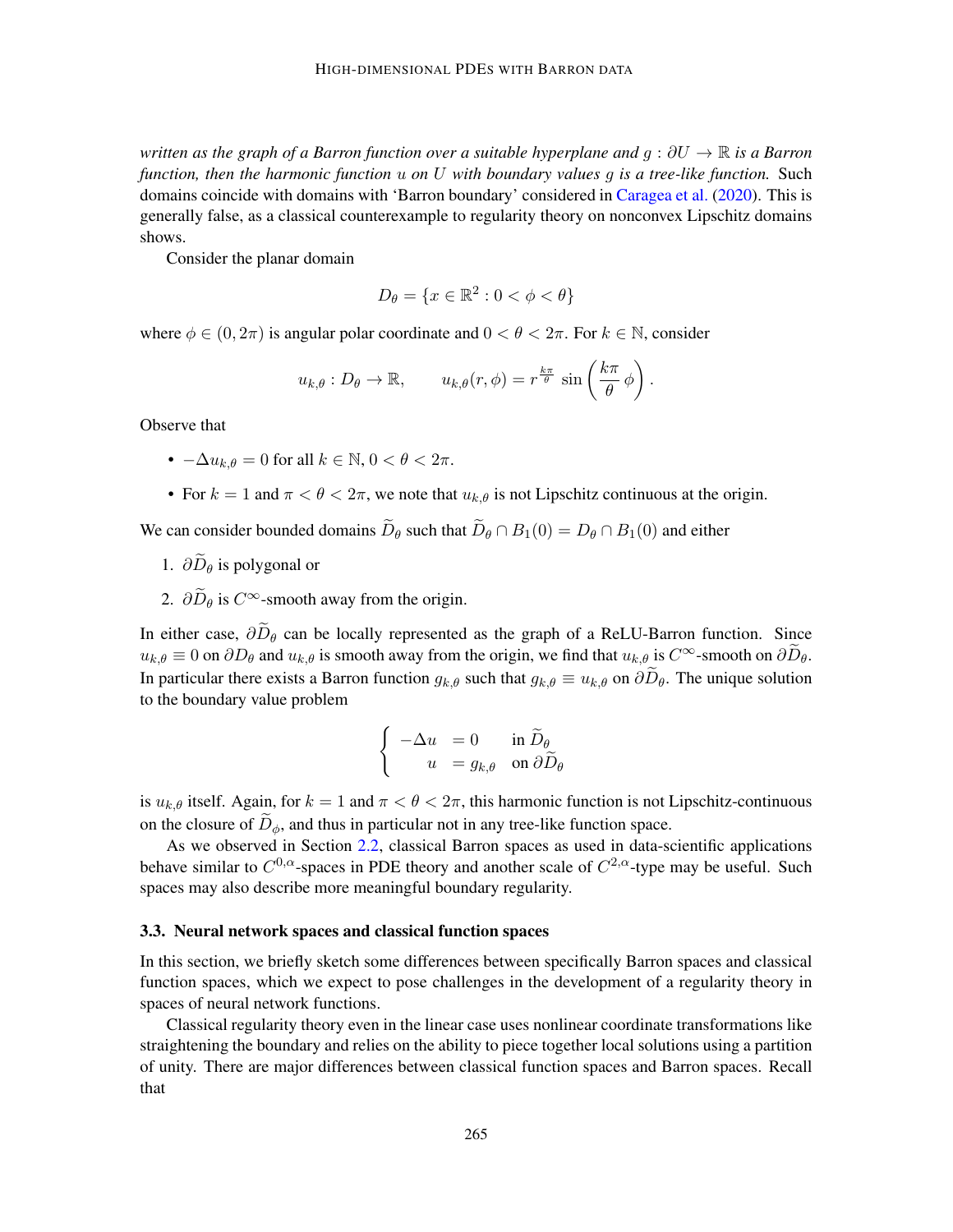*written as the graph of a Barron function over a suitable hyperplane and* g : ∂U → R *is a Barron function, then the harmonic function* u *on* U *with boundary values* g *is a tree-like function.* Such domains coincide with domains with 'Barron boundary' considered in [Caragea et al.](#page-14-13) [\(2020\)](#page-14-13). This is generally false, as a classical counterexample to regularity theory on nonconvex Lipschitz domains shows.

Consider the planar domain

$$
D_{\theta} = \{x \in \mathbb{R}^2 : 0 < \phi < \theta\}
$$

where  $\phi \in (0, 2\pi)$  is angular polar coordinate and  $0 < \theta < 2\pi$ . For  $k \in \mathbb{N}$ , consider

$$
u_{k,\theta}: D_{\theta} \to \mathbb{R}, \qquad u_{k,\theta}(r,\phi) = r^{\frac{k\pi}{\theta}} \sin\left(\frac{k\pi}{\theta}\phi\right).
$$

Observe that

- $-\Delta u_{k,\theta} = 0$  for all  $k \in \mathbb{N}, 0 < \theta < 2\pi$ .
- For  $k = 1$  and  $\pi < \theta < 2\pi$ , we note that  $u_{k,\theta}$  is not Lipschitz continuous at the origin.

We can consider bounded domains  $\widetilde{D}_{\theta}$  such that  $\widetilde{D}_{\theta} \cap B_1(0) = D_{\theta} \cap B_1(0)$  and either

- 1.  $\partial \widetilde{D}_{\theta}$  is polygonal or
- 2.  $\partial \widetilde{D}_{\theta}$  is  $C^{\infty}$ -smooth away from the origin.

In either case,  $\partial \widetilde{D}_{\theta}$  can be locally represented as the graph of a ReLU-Barron function. Since  $u_{k,\theta} \equiv 0$  on  $\partial D_{\theta}$  and  $u_{k,\theta}$  is smooth away from the origin, we find that  $u_{k,\theta}$  is  $C^{\infty}$ -smooth on  $\partial \widetilde{D}_{\theta}$ . In particular there exists a Barron function  $g_{k,\theta}$  such that  $g_{k,\theta} \equiv u_{k,\theta}$  on  $\partial \overline{D}_{\theta}$ . The unique solution to the boundary value problem

$$
\begin{cases}\n-\Delta u = 0 & \text{in } \widetilde{D}_{\theta} \\
u = g_{k,\theta} & \text{on } \partial \widetilde{D}_{\theta}\n\end{cases}
$$

is  $u_{k,\theta}$  itself. Again, for  $k = 1$  and  $\pi < \theta < 2\pi$ , this harmonic function is not Lipschitz-continuous on the closure of  $D_{\phi}$ , and thus in particular not in any tree-like function space.

As we observed in Section [2.2,](#page-7-0) classical Barron spaces as used in data-scientific applications behave similar to  $C^{0,\alpha}$ -spaces in PDE theory and another scale of  $C^{2,\alpha}$ -type may be useful. Such spaces may also describe more meaningful boundary regularity.

#### 3.3. Neural network spaces and classical function spaces

In this section, we briefly sketch some differences between specifically Barron spaces and classical function spaces, which we expect to pose challenges in the development of a regularity theory in spaces of neural network functions.

Classical regularity theory even in the linear case uses nonlinear coordinate transformations like straightening the boundary and relies on the ability to piece together local solutions using a partition of unity. There are major differences between classical function spaces and Barron spaces. Recall that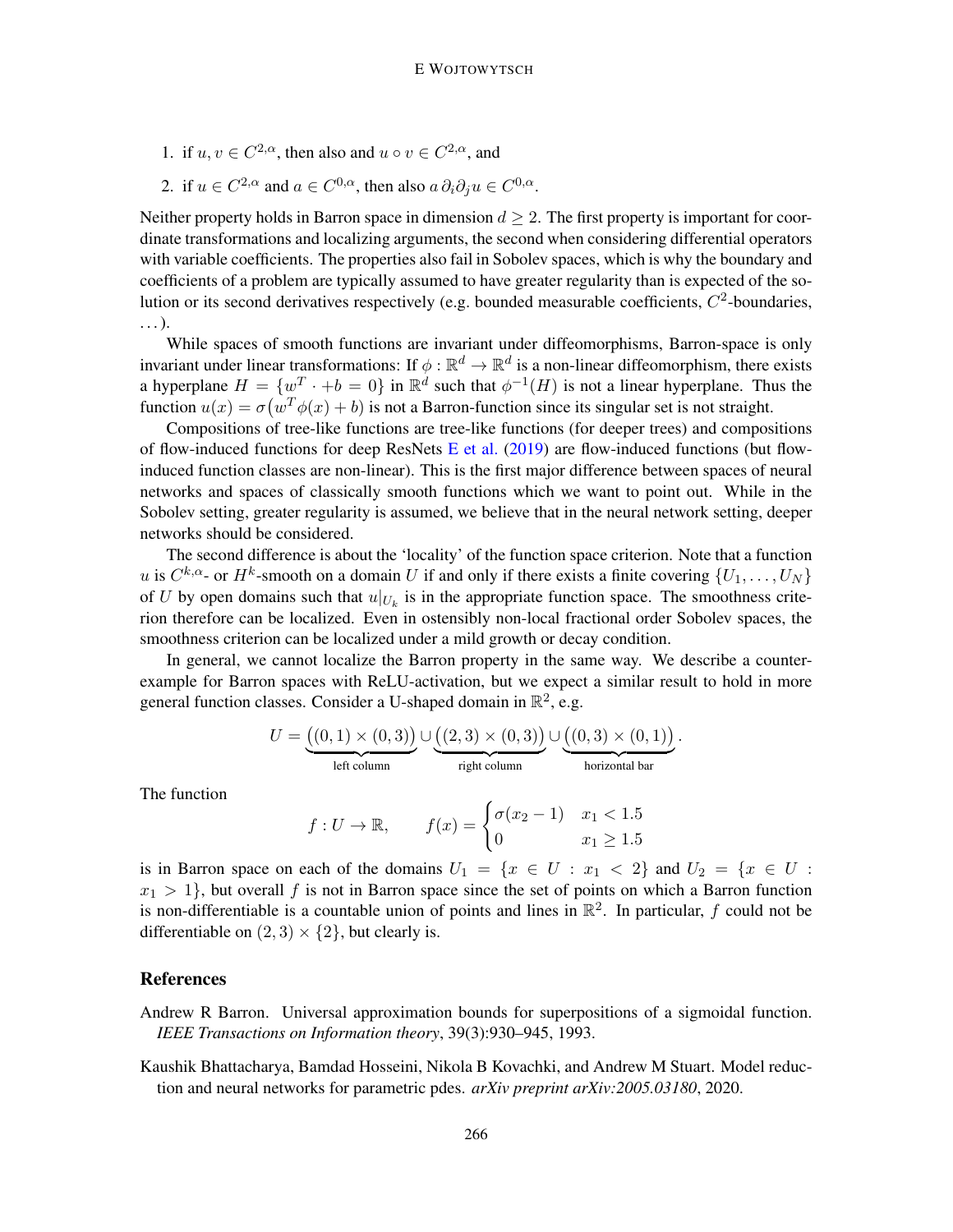- 1. if  $u, v \in C^{2,\alpha}$ , then also and  $u \circ v \in C^{2,\alpha}$ , and
- 2. if  $u \in C^{2,\alpha}$  and  $a \in C^{0,\alpha}$ , then also  $a \, \partial_i \partial_j u \in C^{0,\alpha}$ .

Neither property holds in Barron space in dimension  $d \geq 2$ . The first property is important for coordinate transformations and localizing arguments, the second when considering differential operators with variable coefficients. The properties also fail in Sobolev spaces, which is why the boundary and coefficients of a problem are typically assumed to have greater regularity than is expected of the solution or its second derivatives respectively (e.g. bounded measurable coefficients,  $C^2$ -boundaries, . . . ).

While spaces of smooth functions are invariant under diffeomorphisms, Barron-space is only invariant under linear transformations: If  $\phi : \mathbb{R}^d \to \mathbb{R}^d$  is a non-linear diffeomorphism, there exists a hyperplane  $H = \{w^T \cdot +b = 0\}$  in  $\mathbb{R}^d$  such that  $\phi^{-1}(H)$  is not a linear hyperplane. Thus the function  $u(x) = \sigma(w^T \phi(x) + b)$  is not a Barron-function since its singular set is not straight.

Compositions of tree-like functions are tree-like functions (for deeper trees) and compositions of flow-induced functions for deep ResNets [E et al.](#page-14-5)  $(2019)$  are flow-induced functions (but flowinduced function classes are non-linear). This is the first major difference between spaces of neural networks and spaces of classically smooth functions which we want to point out. While in the Sobolev setting, greater regularity is assumed, we believe that in the neural network setting, deeper networks should be considered.

The second difference is about the 'locality' of the function space criterion. Note that a function u is  $C^{k,\alpha}$ - or  $H^k$ -smooth on a domain U if and only if there exists a finite covering  $\{U_1,\ldots,U_N\}$ of U by open domains such that  $u|_{U_k}$  is in the appropriate function space. The smoothness criterion therefore can be localized. Even in ostensibly non-local fractional order Sobolev spaces, the smoothness criterion can be localized under a mild growth or decay condition.

In general, we cannot localize the Barron property in the same way. We describe a counterexample for Barron spaces with ReLU-activation, but we expect a similar result to hold in more general function classes. Consider a U-shaped domain in  $\mathbb{R}^2$ , e.g.

$$
U = \underbrace{((0,1) \times (0,3))}_{\text{left column}} \cup \underbrace{((2,3) \times (0,3))}_{\text{right column}} \cup \underbrace{((0,3) \times (0,1))}_{\text{horizontal bar}}.
$$

The function

$$
f: U \to \mathbb{R}
$$
,  $f(x) = \begin{cases} \sigma(x_2 - 1) & x_1 < 1.5 \\ 0 & x_1 \ge 1.5 \end{cases}$ 

is in Barron space on each of the domains  $U_1 = \{x \in U : x_1 < 2\}$  and  $U_2 = \{x \in U : x_2 \in U\}$  $x_1 > 1$ , but overall f is not in Barron space since the set of points on which a Barron function is non-differentiable is a countable union of points and lines in  $\mathbb{R}^2$ . In particular, f could not be differentiable on  $(2, 3) \times \{2\}$ , but clearly is.

### References

- <span id="page-13-1"></span>Andrew R Barron. Universal approximation bounds for superpositions of a sigmoidal function. *IEEE Transactions on Information theory*, 39(3):930–945, 1993.
- <span id="page-13-0"></span>Kaushik Bhattacharya, Bamdad Hosseini, Nikola B Kovachki, and Andrew M Stuart. Model reduction and neural networks for parametric pdes. *arXiv preprint arXiv:2005.03180*, 2020.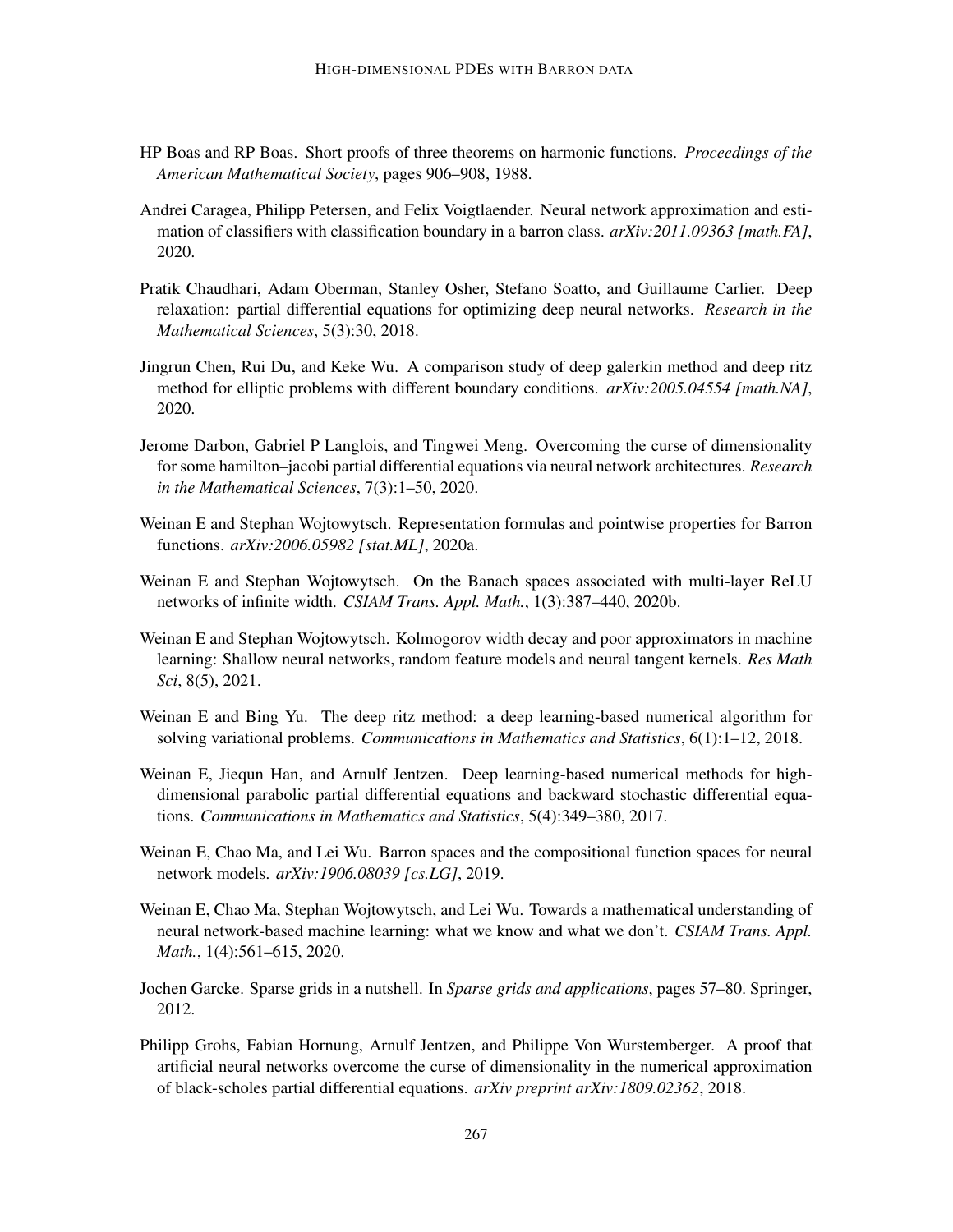- <span id="page-14-12"></span>HP Boas and RP Boas. Short proofs of three theorems on harmonic functions. *Proceedings of the American Mathematical Society*, pages 906–908, 1988.
- <span id="page-14-13"></span>Andrei Caragea, Philipp Petersen, and Felix Voigtlaender. Neural network approximation and estimation of classifiers with classification boundary in a barron class. *arXiv:2011.09363 [math.FA]*, 2020.
- <span id="page-14-2"></span>Pratik Chaudhari, Adam Oberman, Stanley Osher, Stefano Soatto, and Guillaume Carlier. Deep relaxation: partial differential equations for optimizing deep neural networks. *Research in the Mathematical Sciences*, 5(3):30, 2018.
- <span id="page-14-3"></span>Jingrun Chen, Rui Du, and Keke Wu. A comparison study of deep galerkin method and deep ritz method for elliptic problems with different boundary conditions. *arXiv:2005.04554 [math.NA]*, 2020.
- <span id="page-14-10"></span>Jerome Darbon, Gabriel P Langlois, and Tingwei Meng. Overcoming the curse of dimensionality for some hamilton–jacobi partial differential equations via neural network architectures. *Research in the Mathematical Sciences*, 7(3):1–50, 2020.
- <span id="page-14-6"></span>Weinan E and Stephan Wojtowytsch. Representation formulas and pointwise properties for Barron functions. *arXiv:2006.05982 [stat.ML]*, 2020a.
- <span id="page-14-7"></span>Weinan E and Stephan Wojtowytsch. On the Banach spaces associated with multi-layer ReLU networks of infinite width. *CSIAM Trans. Appl. Math.*, 1(3):387–440, 2020b.
- <span id="page-14-11"></span>Weinan E and Stephan Wojtowytsch. Kolmogorov width decay and poor approximators in machine learning: Shallow neural networks, random feature models and neural tangent kernels. *Res Math Sci*, 8(5), 2021.
- <span id="page-14-1"></span>Weinan E and Bing Yu. The deep ritz method: a deep learning-based numerical algorithm for solving variational problems. *Communications in Mathematics and Statistics*, 6(1):1–12, 2018.
- <span id="page-14-0"></span>Weinan E, Jiequn Han, and Arnulf Jentzen. Deep learning-based numerical methods for highdimensional parabolic partial differential equations and backward stochastic differential equations. *Communications in Mathematics and Statistics*, 5(4):349–380, 2017.
- <span id="page-14-5"></span>Weinan E, Chao Ma, and Lei Wu. Barron spaces and the compositional function spaces for neural network models. *arXiv:1906.08039 [cs.LG]*, 2019.
- <span id="page-14-4"></span>Weinan E, Chao Ma, Stephan Wojtowytsch, and Lei Wu. Towards a mathematical understanding of neural network-based machine learning: what we know and what we don't. *CSIAM Trans. Appl. Math.*, 1(4):561–615, 2020.
- <span id="page-14-9"></span>Jochen Garcke. Sparse grids in a nutshell. In *Sparse grids and applications*, pages 57–80. Springer, 2012.
- <span id="page-14-8"></span>Philipp Grohs, Fabian Hornung, Arnulf Jentzen, and Philippe Von Wurstemberger. A proof that artificial neural networks overcome the curse of dimensionality in the numerical approximation of black-scholes partial differential equations. *arXiv preprint arXiv:1809.02362*, 2018.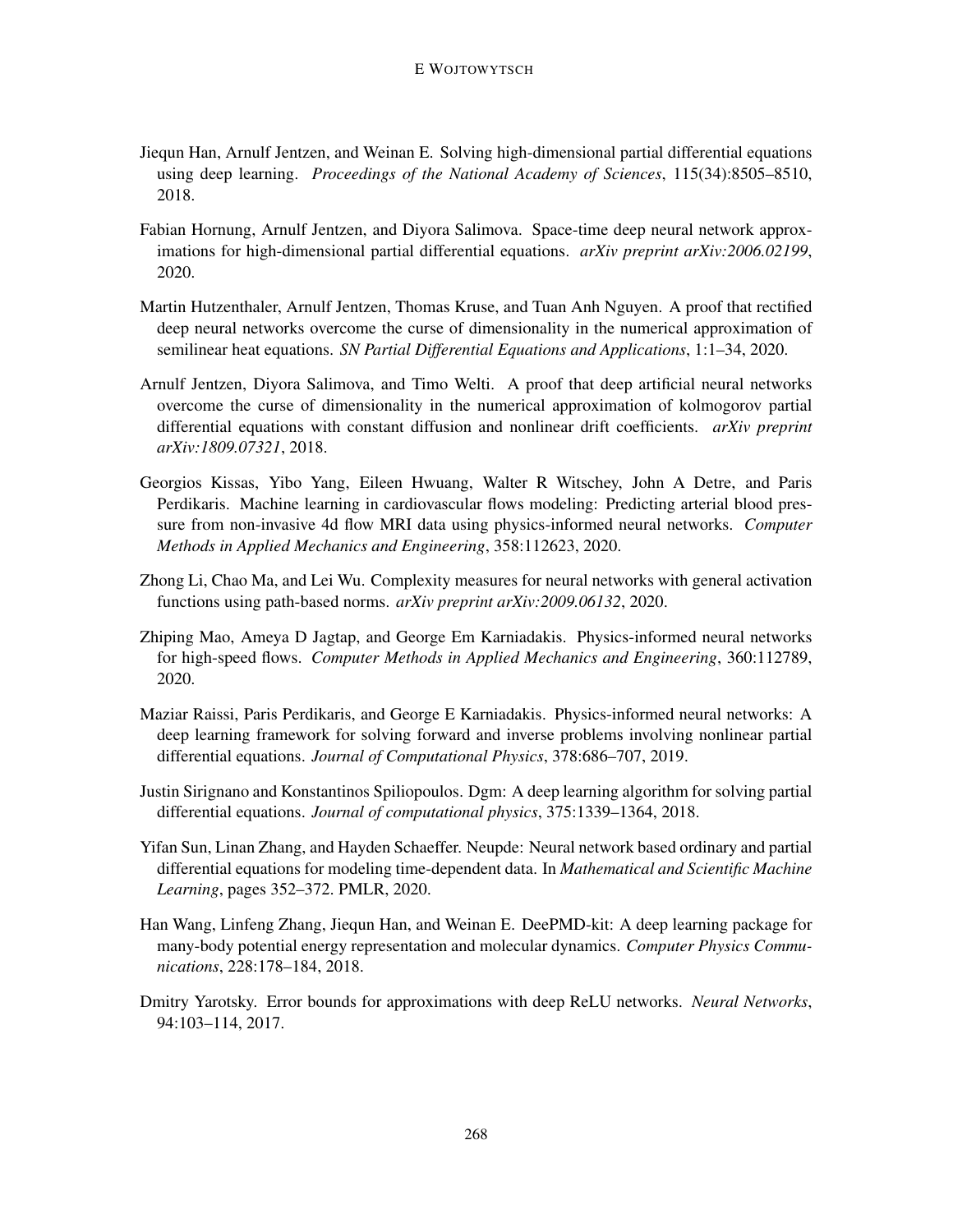- <span id="page-15-0"></span>Jiequn Han, Arnulf Jentzen, and Weinan E. Solving high-dimensional partial differential equations using deep learning. *Proceedings of the National Academy of Sciences*, 115(34):8505–8510, 2018.
- <span id="page-15-10"></span>Fabian Hornung, Arnulf Jentzen, and Diyora Salimova. Space-time deep neural network approximations for high-dimensional partial differential equations. *arXiv preprint arXiv:2006.02199*, 2020.
- <span id="page-15-8"></span>Martin Hutzenthaler, Arnulf Jentzen, Thomas Kruse, and Tuan Anh Nguyen. A proof that rectified deep neural networks overcome the curse of dimensionality in the numerical approximation of semilinear heat equations. *SN Partial Differential Equations and Applications*, 1:1–34, 2020.
- <span id="page-15-9"></span>Arnulf Jentzen, Diyora Salimova, and Timo Welti. A proof that deep artificial neural networks overcome the curse of dimensionality in the numerical approximation of kolmogorov partial differential equations with constant diffusion and nonlinear drift coefficients. *arXiv preprint arXiv:1809.07321*, 2018.
- <span id="page-15-5"></span>Georgios Kissas, Yibo Yang, Eileen Hwuang, Walter R Witschey, John A Detre, and Paris Perdikaris. Machine learning in cardiovascular flows modeling: Predicting arterial blood pressure from non-invasive 4d flow MRI data using physics-informed neural networks. *Computer Methods in Applied Mechanics and Engineering*, 358:112623, 2020.
- <span id="page-15-11"></span>Zhong Li, Chao Ma, and Lei Wu. Complexity measures for neural networks with general activation functions using path-based norms. *arXiv preprint arXiv:2009.06132*, 2020.
- <span id="page-15-4"></span>Zhiping Mao, Ameya D Jagtap, and George Em Karniadakis. Physics-informed neural networks for high-speed flows. *Computer Methods in Applied Mechanics and Engineering*, 360:112789, 2020.
- <span id="page-15-3"></span>Maziar Raissi, Paris Perdikaris, and George E Karniadakis. Physics-informed neural networks: A deep learning framework for solving forward and inverse problems involving nonlinear partial differential equations. *Journal of Computational Physics*, 378:686–707, 2019.
- <span id="page-15-1"></span>Justin Sirignano and Konstantinos Spiliopoulos. Dgm: A deep learning algorithm for solving partial differential equations. *Journal of computational physics*, 375:1339–1364, 2018.
- <span id="page-15-6"></span>Yifan Sun, Linan Zhang, and Hayden Schaeffer. Neupde: Neural network based ordinary and partial differential equations for modeling time-dependent data. In *Mathematical and Scientific Machine Learning*, pages 352–372. PMLR, 2020.
- <span id="page-15-2"></span>Han Wang, Linfeng Zhang, Jiequn Han, and Weinan E. DeePMD-kit: A deep learning package for many-body potential energy representation and molecular dynamics. *Computer Physics Communications*, 228:178–184, 2018.
- <span id="page-15-7"></span>Dmitry Yarotsky. Error bounds for approximations with deep ReLU networks. *Neural Networks*, 94:103–114, 2017.